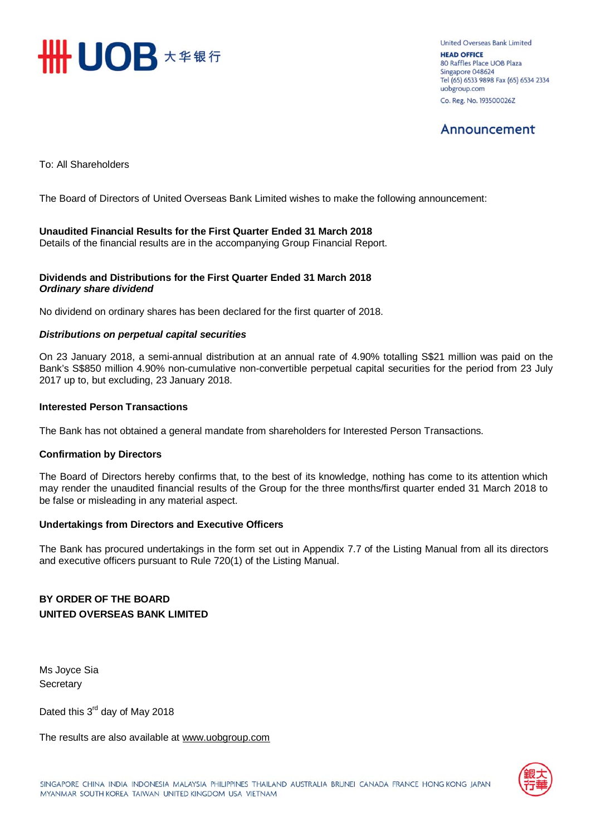

United Overseas Bank Limited **HEAD OFFICE** 80 Raffles Place UOB Plaza Singapore 048624 Tel (65) 6533 9898 Fax (65) 6534 2334 uobgroup.com Co. Reg. No. 193500026Z

## Announcement

To: All Shareholders

The Board of Directors of United Overseas Bank Limited wishes to make the following announcement:

### **Unaudited Financial Results for the First Quarter Ended 31 March 2018**

Details of the financial results are in the accompanying Group Financial Report.

### **Dividends and Distributions for the First Quarter Ended 31 March 2018**  *Ordinary share dividend*

No dividend on ordinary shares has been declared for the first quarter of 2018.

### *Distributions on perpetual capital securities*

On 23 January 2018, a semi-annual distribution at an annual rate of 4.90% totalling S\$21 million was paid on the Bank's S\$850 million 4.90% non-cumulative non-convertible perpetual capital securities for the period from 23 July 2017 up to, but excluding, 23 January 2018.

### **Interested Person Transactions**

The Bank has not obtained a general mandate from shareholders for Interested Person Transactions.

### **Confirmation by Directors**

The Board of Directors hereby confirms that, to the best of its knowledge, nothing has come to its attention which may render the unaudited financial results of the Group for the three months/first quarter ended 31 March 2018 to be false or misleading in any material aspect.

### **Undertakings from Directors and Executive Officers**

The Bank has procured undertakings in the form set out in Appendix 7.7 of the Listing Manual from all its directors and executive officers pursuant to Rule 720(1) of the Listing Manual.

## **BY ORDER OF THE BOARD UNITED OVERSEAS BANK LIMITED**

Ms Joyce Sia **Secretary** 

Dated this 3<sup>rd</sup> day of May 2018

The results are also available at www.uobgroup.com

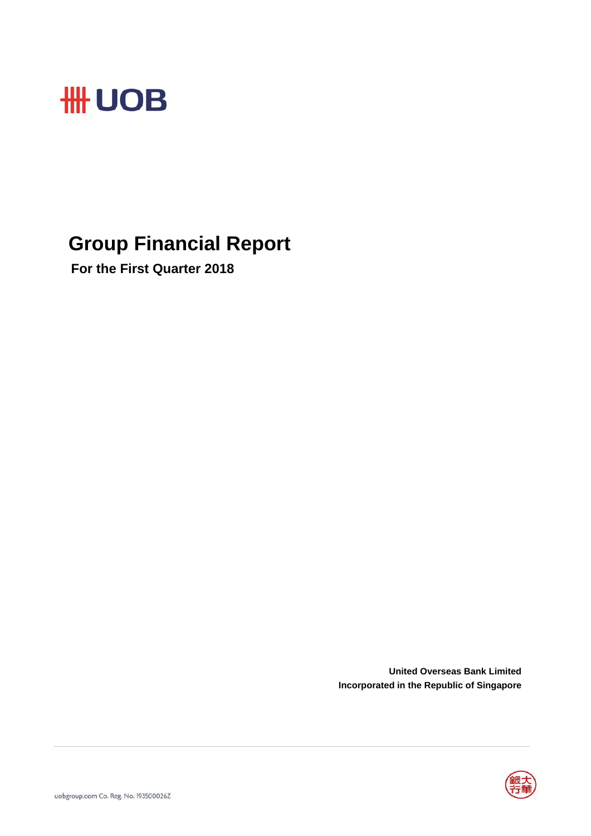

## **Group Financial Report**

 **For the First Quarter 2018**

**United Overseas Bank Limited Incorporated in the Republic of Singapore**

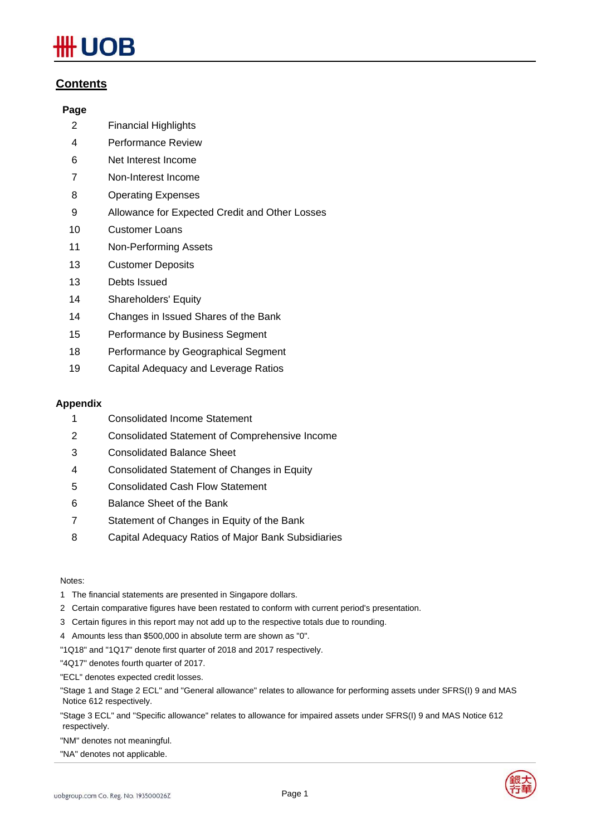# JOB

## **Contents**

### **Page**

- 2 Financial Highlights
- 4 Performance Review
- 6 Net Interest Income
- 7 Non-Interest Income
- 8 Operating Expenses
- 9 Allowance for Expected Credit and Other Losses
- 10 Customer Loans
- 11 Non-Performing Assets
- 13 Customer Deposits
- 13 Debts Issued
- 14 Shareholders' Equity
- 14 Changes in Issued Shares of the Bank
- 15 Performance by Business Segment
- 18 Performance by Geographical Segment
- 19 Capital Adequacy and Leverage Ratios

### **Appendix**

- 1 Consolidated Income Statement
- 2 Consolidated Statement of Comprehensive Income
- 3 Consolidated Balance Sheet
- 4 Consolidated Statement of Changes in Equity
- 5 Consolidated Cash Flow Statement
- 6 Balance Sheet of the Bank
- 7 Statement of Changes in Equity of the Bank
- 8 Capital Adequacy Ratios of Major Bank Subsidiaries

### Notes:

- 1 The financial statements are presented in Singapore dollars.
- 2 Certain comparative figures have been restated to conform with current period's presentation.
- 3 Certain figures in this report may not add up to the respective totals due to rounding.
- 4 Amounts less than \$500,000 in absolute term are shown as "0".
- "1Q18" and "1Q17" denote first quarter of 2018 and 2017 respectively.
- "4Q17" denotes fourth quarter of 2017.
- "ECL" denotes expected credit losses.
- "Stage 1 and Stage 2 ECL" and "General allowance" relates to allowance for performing assets under SFRS(I) 9 and MAS Notice 612 respectively.
- "Stage 3 ECL" and "Specific allowance" relates to allowance for impaired assets under SFRS(I) 9 and MAS Notice 612 respectively.
- "NM" denotes not meaningful.
- "NA" denotes not applicable.



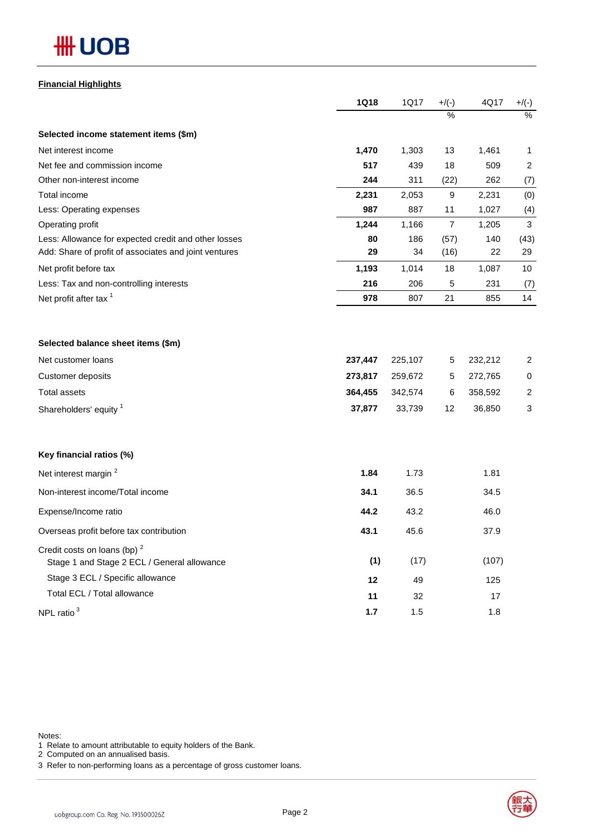## **#H UOB**

### **Financial Highlights**

|                                                                                                               | <b>1Q18</b> | 1Q17      | $+/(-)$      | 4Q17      | $+/(-)$        |
|---------------------------------------------------------------------------------------------------------------|-------------|-----------|--------------|-----------|----------------|
|                                                                                                               |             |           | %            |           | $\frac{0}{6}$  |
| Selected income statement items (\$m)                                                                         |             |           |              |           |                |
| Net interest income                                                                                           | 1,470       | 1,303     | 13           | 1,461     | $\mathbf{1}$   |
| Net fee and commission income                                                                                 | 517         | 439       | 18           | 509       | $\overline{2}$ |
| Other non-interest income                                                                                     | 244         | 311       | (22)         | 262       | (7)            |
| Total income                                                                                                  | 2,231       | 2,053     | 9            | 2,231     | (0)            |
| Less: Operating expenses                                                                                      | 987         | 887       | 11           | 1,027     | (4)            |
| Operating profit                                                                                              | 1,244       | 1,166     | 7            | 1,205     | 3              |
| Less: Allowance for expected credit and other losses<br>Add: Share of profit of associates and joint ventures | 80<br>29    | 186<br>34 | (57)<br>(16) | 140<br>22 | (43)<br>29     |
| Net profit before tax                                                                                         | 1,193       | 1,014     | 18           | 1,087     | 10             |
| Less: Tax and non-controlling interests                                                                       | 216         | 206       | 5            | 231       | (7)            |
| Net profit after tax <sup>1</sup>                                                                             | 978         | 807       | 21           | 855       | 14             |
| Selected balance sheet items (\$m)                                                                            |             |           |              |           |                |
| Net customer loans                                                                                            | 237,447     | 225,107   | 5            | 232,212   | 2              |
| <b>Customer deposits</b>                                                                                      | 273,817     | 259,672   | 5            | 272,765   | 0              |
| <b>Total assets</b>                                                                                           | 364,455     | 342,574   | 6            | 358,592   | $\overline{c}$ |
| Shareholders' equity <sup>1</sup>                                                                             | 37,877      | 33,739    | 12           | 36,850    | 3              |
| Key financial ratios (%)                                                                                      |             |           |              |           |                |
| Net interest margin <sup>2</sup>                                                                              | 1.84        | 1.73      |              | 1.81      |                |
| Non-interest income/Total income                                                                              | 34.1        | 36.5      |              | 34.5      |                |
| Expense/Income ratio                                                                                          | 44.2        | 43.2      |              | 46.0      |                |
| Overseas profit before tax contribution                                                                       | 43.1        | 45.6      |              | 37.9      |                |
| Credit costs on loans (bp) <sup>2</sup><br>Stage 1 and Stage 2 ECL / General allowance                        | (1)         | (17)      |              | (107)     |                |
| Stage 3 ECL / Specific allowance                                                                              | 12          | 49        |              | 125       |                |
| Total ECL / Total allowance                                                                                   | 11          | 32        |              | 17        |                |
| NPL ratio <sup>3</sup>                                                                                        | 1.7         | 1.5       |              | 1.8       |                |

Notes:

1 Relate to amount attributable to equity holders of the Bank.

2 Computed on an annualised basis.

3 Refer to non-performing loans as a percentage of gross customer loans.

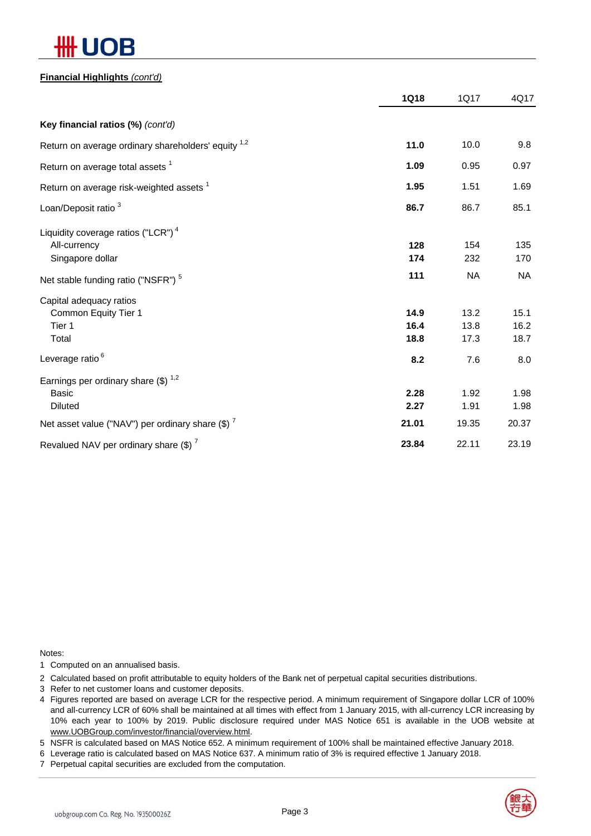# JВ

### **Financial Highlights** *(cont'd)*

|                                                                                    | <b>1Q18</b>          | 1Q17                 | 4Q17                 |
|------------------------------------------------------------------------------------|----------------------|----------------------|----------------------|
| Key financial ratios (%) (cont'd)                                                  |                      |                      |                      |
| Return on average ordinary shareholders' equity <sup>1,2</sup>                     | 11.0                 | 10.0                 | 9.8                  |
| Return on average total assets <sup>1</sup>                                        | 1.09                 | 0.95                 | 0.97                 |
| Return on average risk-weighted assets <sup>1</sup>                                | 1.95                 | 1.51                 | 1.69                 |
| Loan/Deposit ratio <sup>3</sup>                                                    | 86.7                 | 86.7                 | 85.1                 |
| Liquidity coverage ratios ("LCR") <sup>4</sup><br>All-currency<br>Singapore dollar | 128<br>174           | 154<br>232           | 135<br>170           |
| Net stable funding ratio ("NSFR") <sup>5</sup>                                     | 111                  | <b>NA</b>            | <b>NA</b>            |
| Capital adequacy ratios<br>Common Equity Tier 1<br>Tier 1<br>Total                 | 14.9<br>16.4<br>18.8 | 13.2<br>13.8<br>17.3 | 15.1<br>16.2<br>18.7 |
| Leverage ratio <sup>6</sup>                                                        | 8.2                  | 7.6                  | 8.0                  |
| Earnings per ordinary share $(\$)^{1,2}$<br><b>Basic</b><br><b>Diluted</b>         | 2.28<br>2.27         | 1.92<br>1.91         | 1.98<br>1.98         |
| Net asset value ("NAV") per ordinary share $(\$)$ $^7$                             | 21.01                | 19.35                | 20.37                |
| Revalued NAV per ordinary share $(\$)^7$                                           | 23.84                | 22.11                | 23.19                |

Notes:

1 Computed on an annualised basis.

2 Calculated based on profit attributable to equity holders of the Bank net of perpetual capital securities distributions.

- 3 Refer to net customer loans and customer deposits.
- 4 Figures reported are based on average LCR for the respective period. A minimum requirement of Singapore dollar LCR of 100% and all-currency LCR of 60% shall be maintained at all times with effect from 1 January 2015, with all-currency LCR increasing by 10% each year to 100% by 2019. Public disclosure required under MAS Notice 651 is available in the UOB website at www.UOBGroup.com/investor/financial/overview.html.

5 NSFR is calculated based on MAS Notice 652. A minimum requirement of 100% shall be maintained effective January 2018.

6 Leverage ratio is calculated based on MAS Notice 637. A minimum ratio of 3% is required effective 1 January 2018.

7 Perpetual capital securities are excluded from the computation.

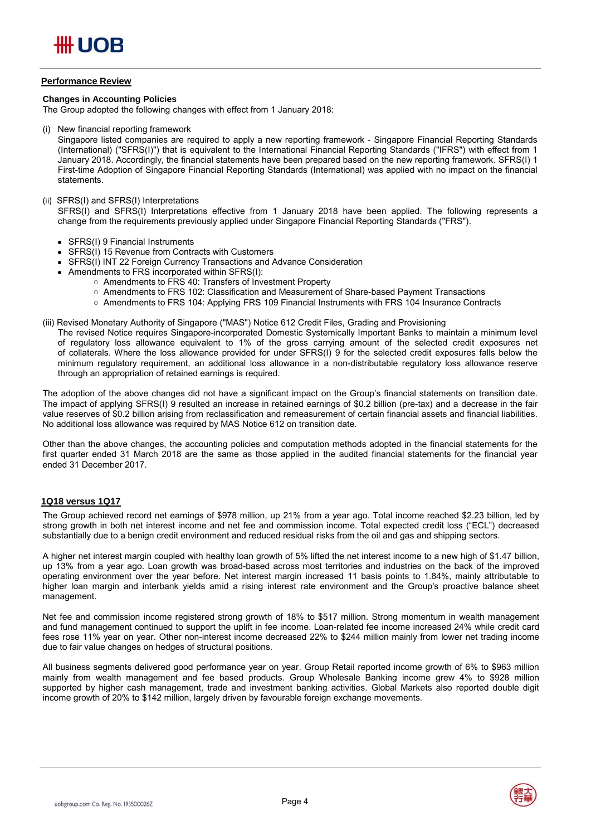### **Performance Review**

### **Changes in Accounting Policies**

The Group adopted the following changes with effect from 1 January 2018:

(i) New financial reporting framework

Singapore listed companies are required to apply a new reporting framework - Singapore Financial Reporting Standards (International) ("SFRS(I)") that is equivalent to the International Financial Reporting Standards ("IFRS") with effect from 1 January 2018. Accordingly, the financial statements have been prepared based on the new reporting framework. SFRS(I) 1 First-time Adoption of Singapore Financial Reporting Standards (International) was applied with no impact on the financial statements.

#### (ii) SFRS(I) and SFRS(I) Interpretations

SFRS(I) and SFRS(I) Interpretations effective from 1 January 2018 have been applied. The following represents a change from the requirements previously applied under Singapore Financial Reporting Standards ("FRS").

- SFRS(I) 9 Financial Instruments
- SFRS(I) 15 Revenue from Contracts with Customers
- SFRS(I) INT 22 Foreign Currency Transactions and Advance Consideration
- Amendments to FRS incorporated within SFRS(I):
	- Amendments to FRS 40: Transfers of Investment Property
	- Amendments to FRS 102: Classification and Measurement of Share-based Payment Transactions
	- Amendments to FRS 104: Applying FRS 109 Financial Instruments with FRS 104 Insurance Contracts

#### (iii) Revised Monetary Authority of Singapore ("MAS") Notice 612 Credit Files, Grading and Provisioning

The revised Notice requires Singapore-incorporated Domestic Systemically Important Banks to maintain a minimum level of regulatory loss allowance equivalent to 1% of the gross carrying amount of the selected credit exposures net of collaterals. Where the loss allowance provided for under SFRS(I) 9 for the selected credit exposures falls below the minimum regulatory requirement, an additional loss allowance in  $a$  non-distributable regulatory loss allowance reserve through an appropriation of retained earnings is required.

The adoption of the above changes did not have a significant impact on the Group's financial statements on transition date. The impact of applying SFRS(I) 9 resulted an increase in retained earnings of \$0.2 billion (pre-tax) and a decrease in the fair value reserves of \$0.2 billion arising from reclassification and remeasurement of certain financial assets and financial liabilities. No additional loss allowance was required by MAS Notice 612 on transition date.

Other than the above changes, the accounting policies and computation methods adopted in the financial statements for the first quarter ended 31 March 2018 are the same as those applied in the audited financial statements for the financial year ended 31 December 2017.

### **1Q18 versus 1Q17**

The Group achieved record net earnings of \$978 million, up 21% from a year ago. Total income reached \$2.23 billion, led by strong growth in both net interest income and net fee and commission income. Total expected credit loss ("ECL") decreased substantially due to a benign credit environment and reduced residual risks from the oil and gas and shipping sectors.

A higher net interest margin coupled with healthy loan growth of 5% lifted the net interest income to a new high of \$1.47 billion, up 13% from a year ago. Loan growth was broad-based across most territories and industries on the back of the improved operating environment over the year before. Net interest margin increased 11 basis points to 1.84%, mainly attributable to higher loan margin and interbank yields amid a rising interest rate environment and the Group's proactive balance sheet management.

Net fee and commission income registered strong growth of 18% to \$517 million. Strong momentum in wealth management and fund management continued to support the uplift in fee income. Loan-related fee income increased 24% while credit card fees rose 11% year on year. Other non-interest income decreased 22% to \$244 million mainly from lower net trading income due to fair value changes on hedges of structural positions.

All business segments delivered good performance year on year. Group Retail reported income growth of 6% to \$963 million mainly from wealth management and fee based products. Group Wholesale Banking income grew 4% to \$928 million supported by higher cash management, trade and investment banking activities. Global Markets also reported double digit income growth of 20% to \$142 million, largely driven by favourable foreign exchange movements.

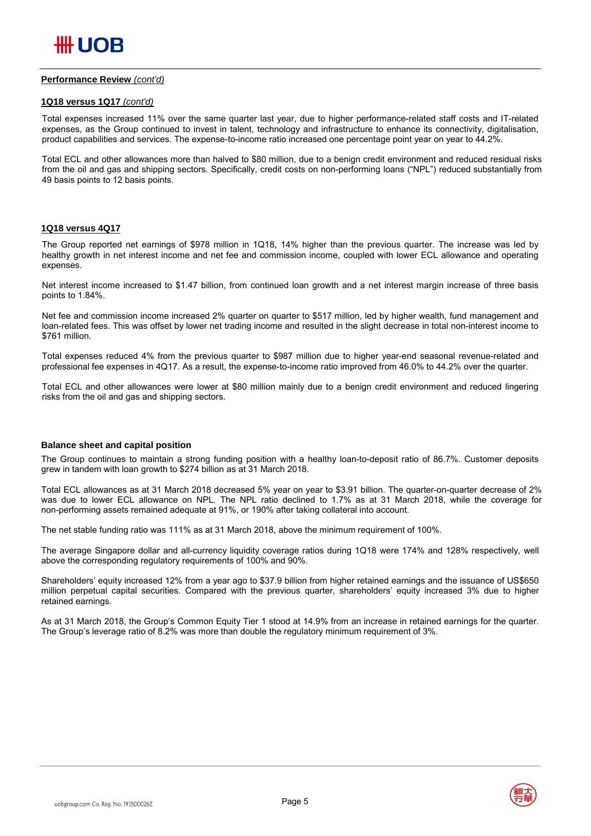### **Performance Review** *(cont'd)*

### **1Q18 versus 1Q17** *(cont'd)*

Total expenses increased 11% over the same quarter last year, due to higher performance-related staff costs and IT-related expenses, as the Group continued to invest in talent, technology and infrastructure to enhance its connectivity, digitalisation, product capabilities and services. The expense-to-income ratio increased one percentage point year on year to 44.2%.

Total ECL and other allowances more than halved to \$80 million, due to a benign credit environment and reduced residual risks from the oil and gas and shipping sectors. Specifically, credit costs on non-performing loans ("NPL") reduced substantially from 49 basis points to 12 basis points.

### **1Q18 versus 4Q17**

The Group reported net earnings of \$978 million in 1Q18, 14% higher than the previous quarter. The increase was led by healthy growth in net interest income and net fee and commission income, coupled with lower ECL allowance and operating expenses.

Net interest income increased to \$1.47 billion, from continued loan growth and a net interest margin increase of three basis points to 1.84%.

Net fee and commission income increased 2% quarter on quarter to \$517 million, led by higher wealth, fund management and loan-related fees. This was offset by lower net trading income and resulted in the slight decrease in total non-interest income to \$761 million.

Total expenses reduced 4% from the previous quarter to \$987 million due to higher year-end seasonal revenue-related and professional fee expenses in 4Q17. As a result, the expense-to-income ratio improved from 46.0% to 44.2% over the quarter.

Total ECL and other allowances were lower at \$80 million mainly due to a benign credit environment and reduced lingering risks from the oil and gas and shipping sectors.

### **Balance sheet and capital position**

The Group continues to maintain a strong funding position with a healthy loan-to-deposit ratio of 86.7%. Customer deposits grew in tandem with loan growth to \$274 billion as at 31 March 2018.

Total ECL allowances as at 31 March 2018 decreased 5% year on year to \$3.91 billion. The quarter-on-quarter decrease of 2% was due to lower ECL allowance on NPL. The NPL ratio declined to 1.7% as at 31 March 2018, while the coverage for non-performing assets remained adequate at 91%, or 190% after taking collateral into account.

The net stable funding ratio was 111% as at 31 March 2018, above the minimum requirement of 100%.

The average Singapore dollar and all-currency liquidity coverage ratios during 1Q18 were 174% and 128% respectively, well above the corresponding regulatory requirements of 100% and 90%.

Shareholders' equity increased 12% from a year ago to \$37.9 billion from higher retained earnings and the issuance of US\$650 million perpetual capital securities. Compared with the previous quarter, shareholders' equity increased 3% due to higher retained earnings.

As at 31 March 2018, the Group's Common Equity Tier 1 stood at 14.9% from an increase in retained earnings for the quarter. The Group's leverage ratio of 8.2% was more than double the regulatory minimum requirement of 3%.



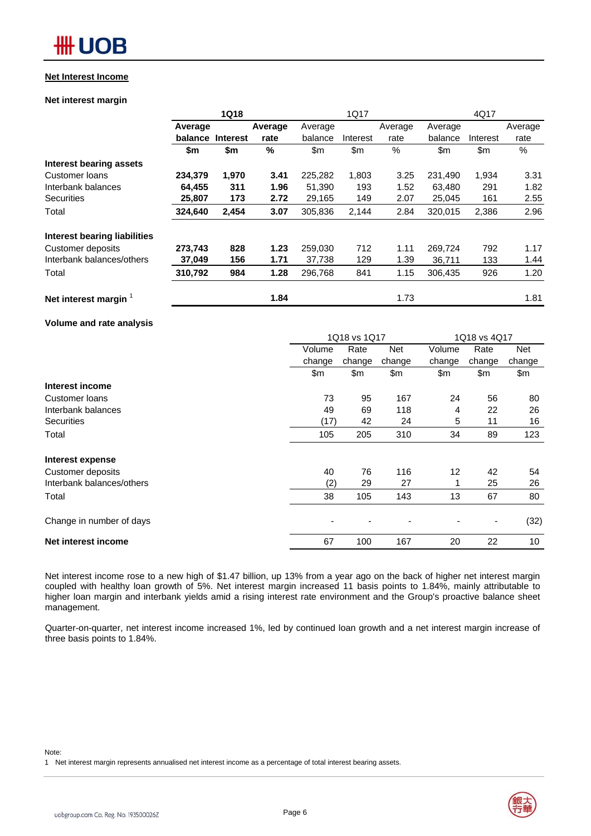## **## UOB**

### **Net Interest Income**

### **Net interest margin**

|                              | <b>1Q18</b> |                 |               | 1Q17    |          | 4Q17    |         |          |         |
|------------------------------|-------------|-----------------|---------------|---------|----------|---------|---------|----------|---------|
|                              | Average     |                 | Average       | Average |          | Average | Average |          | Average |
|                              | balance     | <b>Interest</b> | rate          | balance | Interest | rate    | balance | Interest | rate    |
|                              | \$m         | \$m             | $\frac{0}{0}$ | \$m     | \$m      | %       | \$m\$   | \$m      | %       |
| Interest bearing assets      |             |                 |               |         |          |         |         |          |         |
| <b>Customer loans</b>        | 234,379     | 1,970           | 3.41          | 225,282 | 1,803    | 3.25    | 231.490 | 1,934    | 3.31    |
| Interbank balances           | 64,455      | 311             | 1.96          | 51,390  | 193      | 1.52    | 63,480  | 291      | 1.82    |
| Securities                   | 25,807      | 173             | 2.72          | 29,165  | 149      | 2.07    | 25,045  | 161      | 2.55    |
| Total                        | 324,640     | 2,454           | 3.07          | 305,836 | 2,144    | 2.84    | 320,015 | 2,386    | 2.96    |
| Interest bearing liabilities |             |                 |               |         |          |         |         |          |         |
| Customer deposits            | 273,743     | 828             | 1.23          | 259,030 | 712      | 1.11    | 269,724 | 792      | 1.17    |
| Interbank balances/others    | 37,049      | 156             | 1.71          | 37,738  | 129      | 1.39    | 36,711  | 133      | 1.44    |
| Total                        | 310,792     | 984             | 1.28          | 296,768 | 841      | 1.15    | 306,435 | 926      | 1.20    |
| Net interest margin          |             |                 | 1.84          |         |          | 1.73    |         |          | 1.81    |

### **Volume and rate analysis**

|                           | 1Q18 vs 1Q17<br>1Q18 vs 4Q17 |        |            |        |                              |            |
|---------------------------|------------------------------|--------|------------|--------|------------------------------|------------|
|                           | Volume                       | Rate   | <b>Net</b> | Volume | Rate                         | <b>Net</b> |
|                           | change                       | change | change     | change | change                       | change     |
|                           | \$m                          | \$m    | \$m        | \$m    | \$m                          | \$m        |
| Interest income           |                              |        |            |        |                              |            |
| Customer Ioans            | 73                           | 95     | 167        | 24     | 56                           | 80         |
| Interbank balances        | 49                           | 69     | 118        | 4      | 22                           | 26         |
| <b>Securities</b>         | (17)                         | 42     | 24         | 5      | 11                           | 16         |
| Total                     | 105                          | 205    | 310        | 34     | 89                           | 123        |
| Interest expense          |                              |        |            |        |                              |            |
| Customer deposits         | 40                           | 76     | 116        | 12     | 42                           | 54         |
| Interbank balances/others | (2)                          | 29     | 27         |        | 25                           | 26         |
| Total                     | 38                           | 105    | 143        | 13     | 67                           | 80         |
| Change in number of days  |                              |        |            |        | $\qquad \qquad \blacksquare$ | (32)       |
| Net interest income       | 67                           | 100    | 167        | 20     | 22                           | 10         |

Net interest income rose to a new high of \$1.47 billion, up 13% from a year ago on the back of higher net interest margin coupled with healthy loan growth of 5%. Net interest margin increased 11 basis points to 1.84%, mainly attributable to higher loan margin and interbank yields amid a rising interest rate environment and the Group's proactive balance sheet management.

Quarter-on-quarter, net interest income increased 1%, led by continued loan growth and a net interest margin increase of three basis points to 1.84%.

#### Note:

1 Net interest margin represents annualised net interest income as a percentage of total interest bearing assets.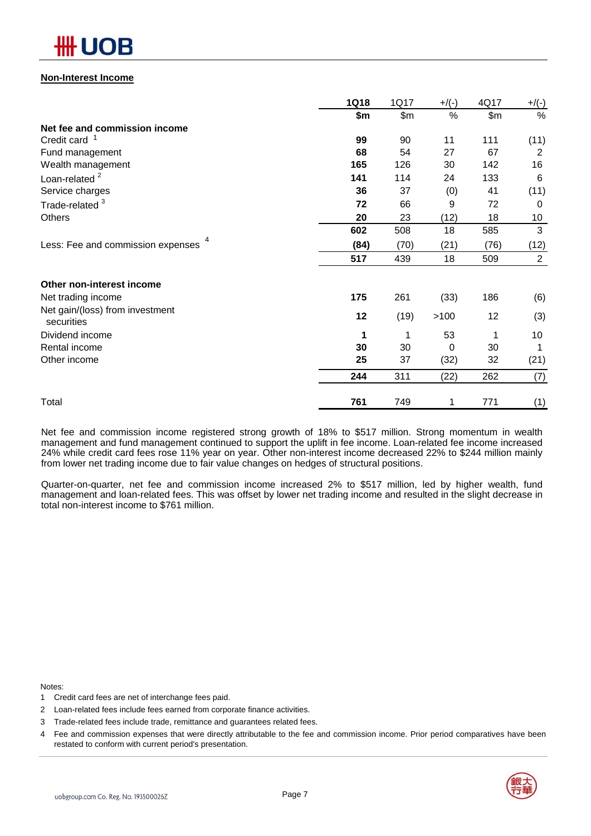## OB

### **Non-Interest Income**

|                                               | <b>1Q18</b> | 1Q17  | $+$ /(-) | 4Q17  | $+/(-)$ |
|-----------------------------------------------|-------------|-------|----------|-------|---------|
|                                               | \$m         | \$m\$ | $\%$     | \$m\$ | %       |
| Net fee and commission income                 |             |       |          |       |         |
| Credit card <sup>1</sup>                      | 99          | 90    | 11       | 111   | (11)    |
| Fund management                               | 68          | 54    | 27       | 67    | 2       |
| Wealth management                             | 165         | 126   | 30       | 142   | 16      |
| Loan-related <sup>2</sup>                     | 141         | 114   | 24       | 133   | 6       |
| Service charges                               | 36          | 37    | (0)      | 41    | (11)    |
| Trade-related <sup>3</sup>                    | 72          | 66    | 9        | 72    | 0       |
| Others                                        | 20          | 23    | (12)     | 18    | 10      |
|                                               | 602         | 508   | 18       | 585   | 3       |
| Less: Fee and commission expenses 4           | (84)        | (70)  | (21)     | (76)  | (12)    |
|                                               | 517         | 439   | 18       | 509   | 2       |
| Other non-interest income                     |             |       |          |       |         |
| Net trading income                            | 175         | 261   | (33)     | 186   | (6)     |
| Net gain/(loss) from investment<br>securities | 12          | (19)  | >100     | 12    | (3)     |
| Dividend income                               | 1           | 1     | 53       |       | 10      |
| Rental income                                 | 30          | 30    | 0        | 30    | 1       |
| Other income                                  | 25          | 37    | (32)     | 32    | (21)    |
|                                               | 244         | 311   | (22)     | 262   | (7)     |
| Total                                         | 761         | 749   | 1        | 771   | (1)     |

Net fee and commission income registered strong growth of 18% to \$517 million. Strong momentum in wealth management and fund management continued to support the uplift in fee income. Loan-related fee income increased 24% while credit card fees rose 11% year on year. Other non-interest income decreased 22% to \$244 million mainly from lower net trading income due to fair value changes on hedges of structural positions.

Quarter-on-quarter, net fee and commission income increased 2% to \$517 million, led by higher wealth, fund management and loan-related fees. This was offset by lower net trading income and resulted in the slight decrease in total non-interest income to \$761 million.

Notes:

- 1 Credit card fees are net of interchange fees paid.
- 2 Loan-related fees include fees earned from corporate finance activities.
- 3 Trade-related fees include trade, remittance and guarantees related fees.
- 4 Fee and commission expenses that were directly attributable to the fee and commission income. Prior period comparatives have been restated to conform with current period's presentation.

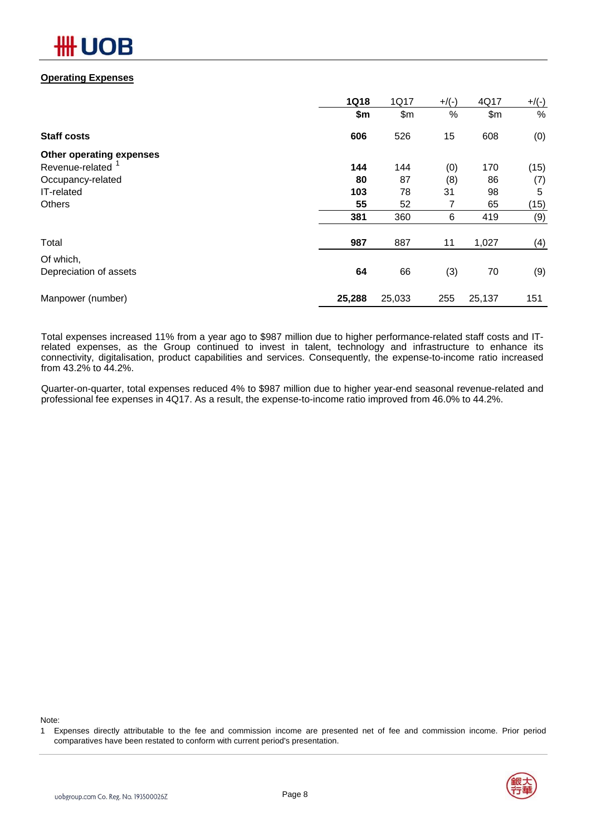

### **Operating Expenses**

|                              | <b>1Q18</b> | 1Q17   | $+$ /(-) | 4Q17   | $+/(-)$ |
|------------------------------|-------------|--------|----------|--------|---------|
|                              | \$m         | \$m\$  | %        | \$m\$  | %       |
| <b>Staff costs</b>           | 606         | 526    | 15       | 608    | (0)     |
| Other operating expenses     |             |        |          |        |         |
| Revenue-related <sup>1</sup> | 144         | 144    | (0)      | 170    | (15)    |
| Occupancy-related            | 80          | 87     | (8)      | 86     | (7)     |
| IT-related                   | 103         | 78     | 31       | 98     | 5       |
| Others                       | 55          | 52     | 7        | 65     | (15)    |
|                              | 381         | 360    | 6        | 419    | (9)     |
| Total                        | 987         | 887    | 11       | 1,027  | (4)     |
| Of which,                    |             |        |          |        |         |
| Depreciation of assets       | 64          | 66     | (3)      | 70     | (9)     |
| Manpower (number)            | 25,288      | 25,033 | 255      | 25,137 | 151     |

Total expenses increased 11% from a year ago to \$987 million due to higher performance-related staff costs and ITrelated expenses, as the Group continued to invest in talent, technology and infrastructure to enhance its connectivity, digitalisation, product capabilities and services. Consequently, the expense-to-income ratio increased from 43.2% to 44.2%.

Quarter-on-quarter, total expenses reduced 4% to \$987 million due to higher year-end seasonal revenue-related and professional fee expenses in 4Q17. As a result, the expense-to-income ratio improved from 46.0% to 44.2%.

Note:

<sup>1</sup> Expenses directly attributable to the fee and commission income are presented net of fee and commission income. Prior period comparatives have been restated to conform with current period's presentation.

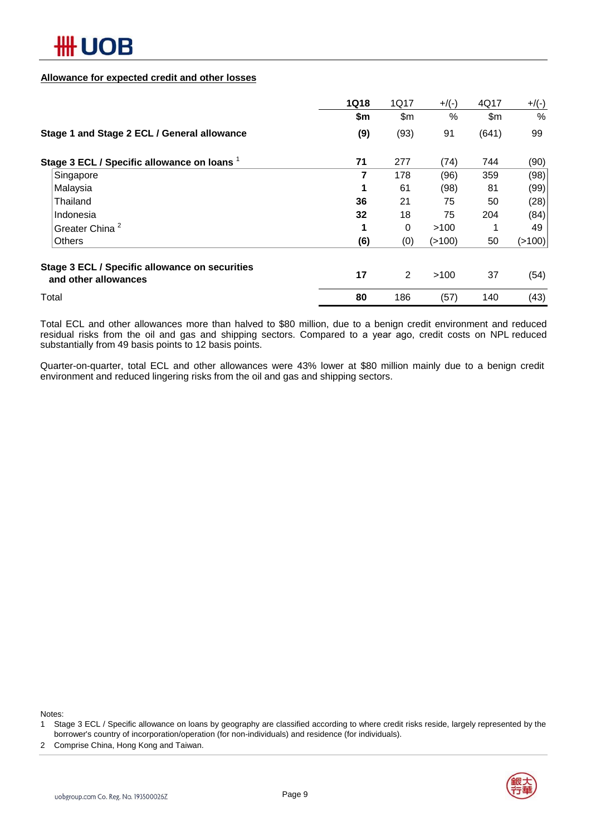

### **Allowance for expected credit and other losses**

|                                                                        | <b>1Q18</b> | 1Q17           | $+$ /(-) | 4Q17  | $+/(-)$ |
|------------------------------------------------------------------------|-------------|----------------|----------|-------|---------|
|                                                                        | \$m         | \$m            | $\%$     | \$m\$ | $\%$    |
| Stage 1 and Stage 2 ECL / General allowance                            | (9)         | (93)           | 91       | (641) | 99      |
| Stage 3 ECL / Specific allowance on loans 1                            | 71          | 277            | (74)     | 744   | (90)    |
| Singapore                                                              | 7           | 178            | (96)     | 359   | (98)    |
| Malaysia                                                               | 1           | 61             | (98)     | 81    | (99)    |
| Thailand                                                               | 36          | 21             | 75       | 50    | (28)    |
| Indonesia                                                              | 32          | 18             | 75       | 204   | (84)    |
| Greater China <sup>2</sup>                                             | 1           | 0              | >100     |       | 49      |
| <b>Others</b>                                                          | (6)         | (0)            | (>100)   | 50    | (>100)  |
| Stage 3 ECL / Specific allowance on securities<br>and other allowances | 17          | $\overline{2}$ | >100     | 37    | (54)    |
| Total                                                                  | 80          | 186            | (57)     | 140   | (43)    |

Total ECL and other allowances more than halved to \$80 million, due to a benign credit environment and reduced residual risks from the oil and gas and shipping sectors. Compared to a year ago, credit costs on NPL reduced substantially from 49 basis points to 12 basis points.

Quarter-on-quarter, total ECL and other allowances were 43% lower at \$80 million mainly due to a benign credit environment and reduced lingering risks from the oil and gas and shipping sectors.

Notes:

- 1 Stage 3 ECL / Specific allowance on loans by geography are classified according to where credit risks reside, largely represented by the borrower's country of incorporation/operation (for non-individuals) and residence (for individuals).
- 2 Comprise China, Hong Kong and Taiwan.

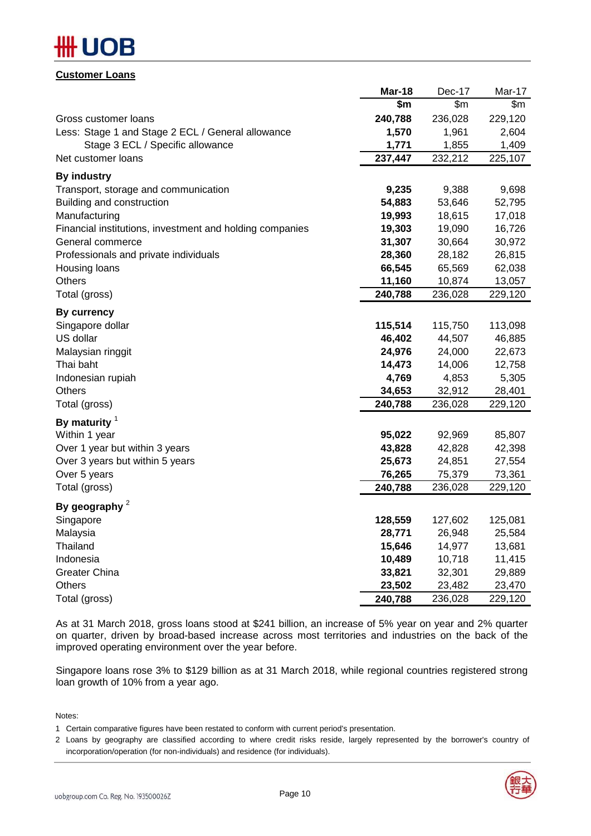# )R

### **Customer Loans**

|                                                          | Mar-18  | Dec-17  | Mar-17  |
|----------------------------------------------------------|---------|---------|---------|
|                                                          | \$m     | \$m\$   | \$m\$   |
| Gross customer loans                                     | 240,788 | 236,028 | 229,120 |
| Less: Stage 1 and Stage 2 ECL / General allowance        | 1,570   | 1,961   | 2,604   |
| Stage 3 ECL / Specific allowance                         | 1,771   | 1,855   | 1,409   |
| Net customer loans                                       | 237,447 | 232,212 | 225,107 |
| <b>By industry</b>                                       |         |         |         |
| Transport, storage and communication                     | 9,235   | 9,388   | 9,698   |
| Building and construction                                | 54,883  | 53,646  | 52,795  |
| Manufacturing                                            | 19,993  | 18,615  | 17,018  |
| Financial institutions, investment and holding companies | 19,303  | 19,090  | 16,726  |
| General commerce                                         | 31,307  | 30,664  | 30,972  |
| Professionals and private individuals                    | 28,360  | 28,182  | 26,815  |
| Housing loans                                            | 66,545  | 65,569  | 62,038  |
| Others                                                   | 11,160  | 10,874  | 13,057  |
| Total (gross)                                            | 240,788 | 236,028 | 229,120 |
| <b>By currency</b>                                       |         |         |         |
| Singapore dollar                                         | 115,514 | 115,750 | 113,098 |
| US dollar                                                | 46,402  | 44,507  | 46,885  |
| Malaysian ringgit                                        | 24,976  | 24,000  | 22,673  |
| Thai baht                                                | 14,473  | 14,006  | 12,758  |
| Indonesian rupiah                                        | 4,769   | 4,853   | 5,305   |
| Others                                                   | 34,653  | 32,912  | 28,401  |
| Total (gross)                                            | 240,788 | 236,028 | 229,120 |
| By maturity $1$                                          |         |         |         |
| Within 1 year                                            | 95,022  | 92,969  | 85,807  |
| Over 1 year but within 3 years                           | 43,828  | 42,828  | 42,398  |
| Over 3 years but within 5 years                          | 25,673  | 24,851  | 27,554  |
| Over 5 years                                             | 76,265  | 75,379  | 73,361  |
| Total (gross)                                            | 240,788 | 236,028 | 229,120 |
| By geography $2$                                         |         |         |         |
| Singapore                                                | 128,559 | 127,602 | 125,081 |
| Malaysia                                                 | 28,771  | 26,948  | 25,584  |
| Thailand                                                 | 15,646  | 14,977  | 13,681  |
| Indonesia                                                | 10,489  | 10,718  | 11,415  |
| <b>Greater China</b>                                     | 33,821  | 32,301  | 29,889  |
| Others                                                   | 23,502  | 23,482  | 23,470  |
| Total (gross)                                            | 240,788 | 236,028 | 229,120 |

As at 31 March 2018, gross loans stood at \$241 billion, an increase of 5% year on year and 2% quarter on quarter, driven by broad-based increase across most territories and industries on the back of the improved operating environment over the year before.

Singapore loans rose 3% to \$129 billion as at 31 March 2018, while regional countries registered strong loan growth of 10% from a year ago.

Notes:

1 Certain comparative figures have been restated to conform with current period's presentation.

2 Loans by geography are classified according to where credit risks reside, largely represented by the borrower's country of incorporation/operation (for non-individuals) and residence (for individuals).

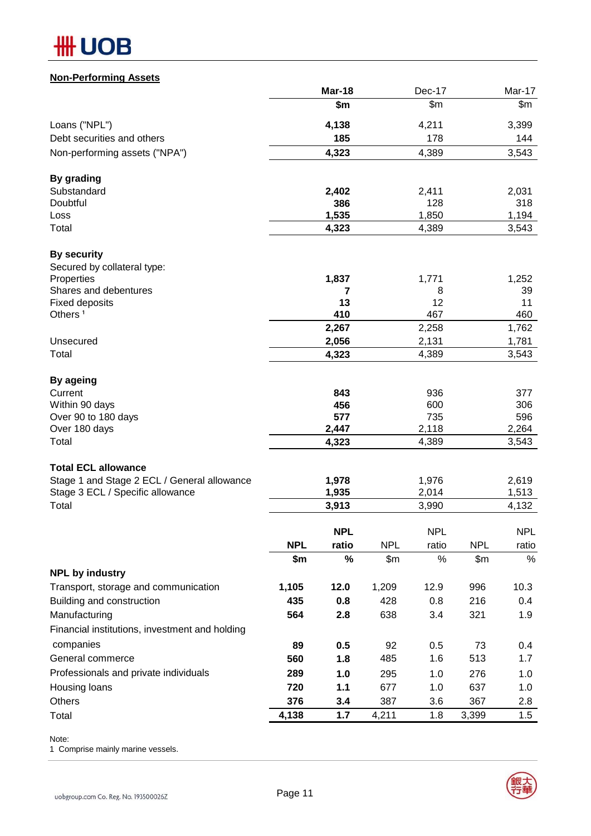# **HH UOB**

## **Non-Performing Assets**

|                                                |            | Mar-18     |            | Dec-17     |            | Mar-17     |
|------------------------------------------------|------------|------------|------------|------------|------------|------------|
|                                                |            | \$m        |            | \$m\$      |            | \$m        |
| Loans ("NPL")                                  |            | 4,138      |            | 4,211      |            | 3,399      |
| Debt securities and others                     |            | 185        |            | 178        |            | 144        |
| Non-performing assets ("NPA")                  |            | 4,323      |            | 4,389      |            | 3,543      |
| By grading                                     |            |            |            |            |            |            |
| Substandard                                    |            | 2,402      |            | 2,411      |            | 2,031      |
| Doubtful                                       |            | 386        |            | 128        |            | 318        |
| Loss                                           |            | 1,535      |            | 1,850      |            | 1,194      |
| Total                                          |            | 4,323      |            | 4,389      |            | 3,543      |
| <b>By security</b>                             |            |            |            |            |            |            |
| Secured by collateral type:                    |            |            |            |            |            |            |
| Properties                                     |            | 1,837      |            | 1,771      |            | 1,252      |
| Shares and debentures                          |            | 7          |            | 8          |            | 39         |
| <b>Fixed deposits</b>                          |            | 13         |            | 12         |            | 11         |
| Others <sup>1</sup>                            |            | 410        |            | 467        |            | 460        |
|                                                |            | 2,267      |            | 2,258      |            | 1,762      |
| Unsecured                                      |            | 2,056      |            | 2,131      |            | 1,781      |
| Total                                          |            | 4,323      |            | 4,389      |            | 3,543      |
| <b>By ageing</b>                               |            |            |            |            |            |            |
| Current                                        |            | 843<br>456 |            | 936<br>600 |            | 377<br>306 |
| Within 90 days<br>Over 90 to 180 days          |            | 577        |            | 735        |            | 596        |
| Over 180 days                                  |            | 2,447      |            | 2,118      |            | 2,264      |
| Total                                          |            | 4,323      |            | 4,389      |            | 3,543      |
| <b>Total ECL allowance</b>                     |            |            |            |            |            |            |
| Stage 1 and Stage 2 ECL / General allowance    |            | 1,978      |            | 1,976      |            | 2,619      |
| Stage 3 ECL / Specific allowance               |            | 1,935      |            | 2,014      |            | 1,513      |
| Total                                          |            | 3,913      |            | 3,990      |            | 4,132      |
|                                                |            | <b>NPL</b> |            | <b>NPL</b> |            | <b>NPL</b> |
|                                                | <b>NPL</b> | ratio      | <b>NPL</b> | ratio      | <b>NPL</b> | ratio      |
|                                                | \$m        | $\%$       | \$m        | $\%$       | \$m        | $\%$       |
| <b>NPL by industry</b>                         |            |            |            |            |            |            |
| Transport, storage and communication           | 1,105      | 12.0       | 1,209      | 12.9       | 996        | 10.3       |
| Building and construction                      | 435        | 0.8        | 428        | 0.8        | 216        | 0.4        |
| Manufacturing                                  | 564        | 2.8        | 638        | 3.4        | 321        | 1.9        |
| Financial institutions, investment and holding |            |            |            |            |            |            |
| companies                                      |            |            |            |            |            |            |
|                                                | 89         | 0.5        | 92         | 0.5        | 73         | 0.4        |
| General commerce                               | 560        | 1.8        | 485        | 1.6        | 513        | 1.7        |
| Professionals and private individuals          | 289        | 1.0        | 295        | 1.0        | 276        | 1.0        |
| Housing loans                                  | 720        | 1.1        | 677        | 1.0        | 637        | 1.0        |
| Others                                         | 376        | 3.4        | 387        | 3.6        | 367        | 2.8        |
| Total                                          | 4,138      | 1.7        | 4,211      | 1.8        | 3,399      | 1.5        |

Note:

1 Comprise mainly marine vessels.

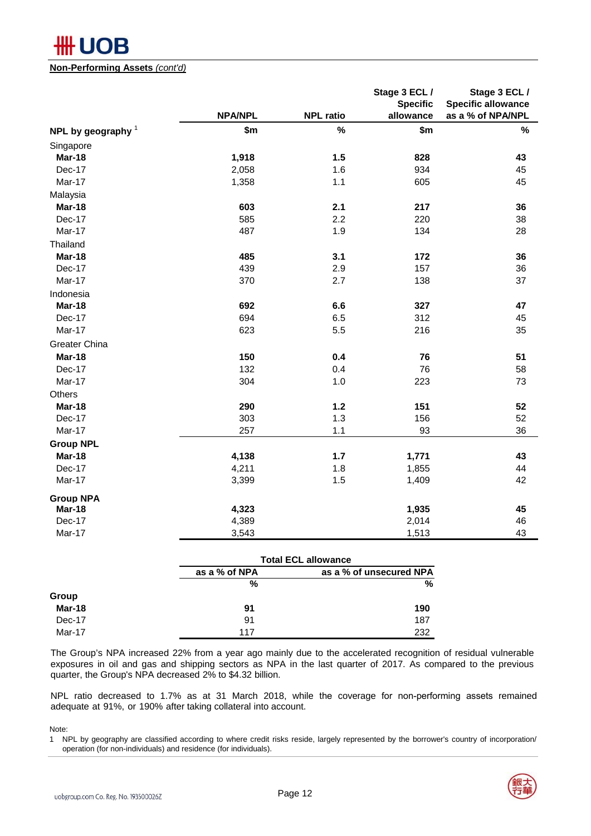

### **Non-Performing Assets** *(cont'd)*

|                      |                |                  | Stage 3 ECL /<br><b>Specific</b> | Stage 3 ECL /<br><b>Specific allowance</b> |
|----------------------|----------------|------------------|----------------------------------|--------------------------------------------|
|                      | <b>NPA/NPL</b> | <b>NPL ratio</b> | allowance                        | as a % of NPA/NPL                          |
| NPL by geography $1$ | \$m            | $\%$             | \$m                              | $\%$                                       |
| Singapore            |                |                  |                                  |                                            |
| Mar-18               | 1,918          | 1.5              | 828                              | 43                                         |
| Dec-17               | 2,058          | 1.6              | 934                              | 45                                         |
| Mar-17               | 1,358          | 1.1              | 605                              | 45                                         |
| Malaysia             |                |                  |                                  |                                            |
| Mar-18               | 603            | 2.1              | 217                              | 36                                         |
| Dec-17               | 585            | 2.2              | 220                              | 38                                         |
| Mar-17               | 487            | 1.9              | 134                              | 28                                         |
| Thailand             |                |                  |                                  |                                            |
| Mar-18               | 485            | 3.1              | 172                              | 36                                         |
| Dec-17               | 439            | 2.9              | 157                              | 36                                         |
| Mar-17               | 370            | 2.7              | 138                              | 37                                         |
| Indonesia            |                |                  |                                  |                                            |
| Mar-18               | 692            | 6.6              | 327                              | 47                                         |
| Dec-17               | 694            | 6.5              | 312                              | 45                                         |
| Mar-17               | 623            | 5.5              | 216                              | 35                                         |
| Greater China        |                |                  |                                  |                                            |
| Mar-18               | 150            | 0.4              | 76                               | 51                                         |
| Dec-17               | 132            | 0.4              | 76                               | 58                                         |
| Mar-17               | 304            | 1.0              | 223                              | 73                                         |
| Others               |                |                  |                                  |                                            |
| Mar-18               | 290            | $1.2$            | 151                              | 52                                         |
| Dec-17               | 303            | 1.3              | 156                              | 52                                         |
| Mar-17               | 257            | 1.1              | 93                               | 36                                         |
| <b>Group NPL</b>     |                |                  |                                  |                                            |
| Mar-18               | 4,138          | $1.7$            | 1,771                            | 43                                         |
| Dec-17               | 4,211          | 1.8              | 1,855                            | 44                                         |
| Mar-17               | 3,399          | 1.5              | 1,409                            | 42                                         |
| <b>Group NPA</b>     |                |                  |                                  |                                            |
| Mar-18               | 4,323          |                  | 1,935                            | 45                                         |
| Dec-17               | 4,389          |                  | 2,014                            | 46                                         |
| Mar-17               | 3,543          |                  | 1,513                            | 43                                         |

|        | <b>Total ECL allowance</b> |                         |  |
|--------|----------------------------|-------------------------|--|
|        | as a % of NPA              | as a % of unsecured NPA |  |
|        | %                          | %                       |  |
| Group  |                            |                         |  |
| Mar-18 | 91                         | 190                     |  |
| Dec-17 | 91                         | 187                     |  |
| Mar-17 | 117                        | 232                     |  |

The Group's NPA increased 22% from a year ago mainly due to the accelerated recognition of residual vulnerable exposures in oil and gas and shipping sectors as NPA in the last quarter of 2017. As compared to the previous quarter, the Group's NPA decreased 2% to \$4.32 billion.

NPL ratio decreased to 1.7% as at 31 March 2018, while the coverage for non-performing assets remained adequate at 91%, or 190% after taking collateral into account.

Note:

operation (for non-individuals) and residence (for individuals). 1 NPL by geography are classified according to where credit risks reside, largely represented by the borrower's country of incorporation/

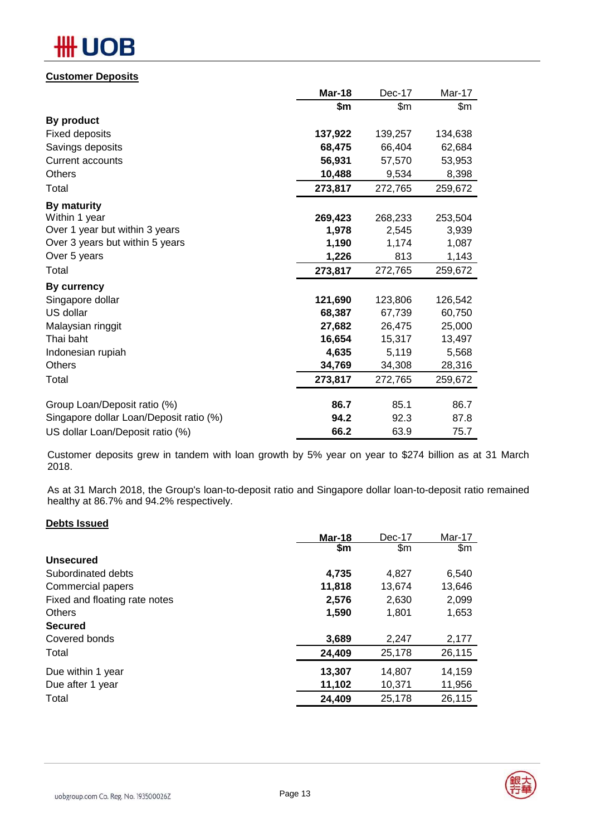## ╫╫ DВ

## **Customer Deposits**

|                                         | <b>Mar-18</b> | Dec-17  | Mar-17  |
|-----------------------------------------|---------------|---------|---------|
|                                         | \$m           | \$m\$   | \$m\$   |
| By product                              |               |         |         |
| <b>Fixed deposits</b>                   | 137,922       | 139,257 | 134,638 |
| Savings deposits                        | 68,475        | 66,404  | 62,684  |
| <b>Current accounts</b>                 | 56,931        | 57,570  | 53,953  |
| <b>Others</b>                           | 10,488        | 9,534   | 8,398   |
| Total                                   | 273,817       | 272,765 | 259,672 |
| By maturity                             |               |         |         |
| Within 1 year                           | 269,423       | 268,233 | 253,504 |
| Over 1 year but within 3 years          | 1,978         | 2,545   | 3,939   |
| Over 3 years but within 5 years         | 1,190         | 1,174   | 1,087   |
| Over 5 years                            | 1,226         | 813     | 1,143   |
| Total                                   | 273,817       | 272,765 | 259,672 |
| By currency                             |               |         |         |
| Singapore dollar                        | 121,690       | 123,806 | 126,542 |
| US dollar                               | 68,387        | 67,739  | 60,750  |
| Malaysian ringgit                       | 27,682        | 26,475  | 25,000  |
| Thai baht                               | 16,654        | 15,317  | 13,497  |
| Indonesian rupiah                       | 4,635         | 5,119   | 5,568   |
| Others                                  | 34,769        | 34,308  | 28,316  |
| Total                                   | 273,817       | 272,765 | 259,672 |
| Group Loan/Deposit ratio (%)            | 86.7          | 85.1    | 86.7    |
| Singapore dollar Loan/Deposit ratio (%) | 94.2          | 92.3    | 87.8    |
| US dollar Loan/Deposit ratio (%)        | 66.2          | 63.9    | 75.7    |

Customer deposits grew in tandem with loan growth by 5% year on year to \$274 billion as at 31 March 2018.

As at 31 March 2018, the Group's loan-to-deposit ratio and Singapore dollar loan-to-deposit ratio remained healthy at 86.7% and 94.2% respectively.

### **Debts Issued**

| Mar-18 | Dec-17 | Mar-17        |
|--------|--------|---------------|
| \$m    | \$m    | $\mathsf{Sm}$ |
|        |        |               |
| 4,735  | 4.827  | 6,540         |
| 11,818 | 13,674 | 13,646        |
| 2,576  | 2,630  | 2,099         |
| 1,590  | 1,801  | 1,653         |
|        |        |               |
| 3,689  | 2,247  | 2,177         |
| 24,409 | 25,178 | 26,115        |
| 13,307 | 14,807 | 14,159        |
| 11,102 | 10,371 | 11,956        |
| 24,409 | 25,178 | 26,115        |
|        |        |               |

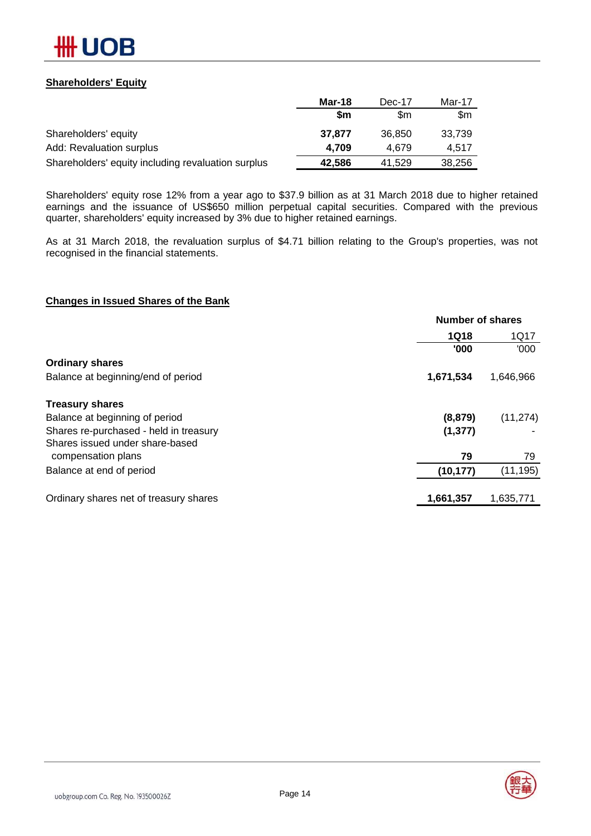

### **Shareholders' Equity**

|                                                    | Mar-18    | Dec-17 | Mar-17 |
|----------------------------------------------------|-----------|--------|--------|
|                                                    | <b>Sm</b> | \$m    | \$m    |
| Shareholders' equity                               | 37.877    | 36,850 | 33.739 |
| Add: Revaluation surplus                           | 4.709     | 4.679  | 4.517  |
| Shareholders' equity including revaluation surplus | 42,586    | 41.529 | 38,256 |

Shareholders' equity rose 12% from a year ago to \$37.9 billion as at 31 March 2018 due to higher retained earnings and the issuance of US\$650 million perpetual capital securities. Compared with the previous quarter, shareholders' equity increased by 3% due to higher retained earnings.

As at 31 March 2018, the revaluation surplus of \$4.71 billion relating to the Group's properties, was not recognised in the financial statements.

### **Changes in Issued Shares of the Bank**

| <b>Number of shares</b> |           |  |
|-------------------------|-----------|--|
| <b>1Q18</b>             | 1Q17      |  |
| '000                    | '000      |  |
|                         |           |  |
| 1,671,534               | 1,646,966 |  |
|                         |           |  |
| (8, 879)                | (11, 274) |  |
| (1, 377)                |           |  |
|                         |           |  |
| 79                      | 79        |  |
| (10, 177)               | (11, 195) |  |
| 1,661,357               | 1,635,771 |  |
|                         |           |  |

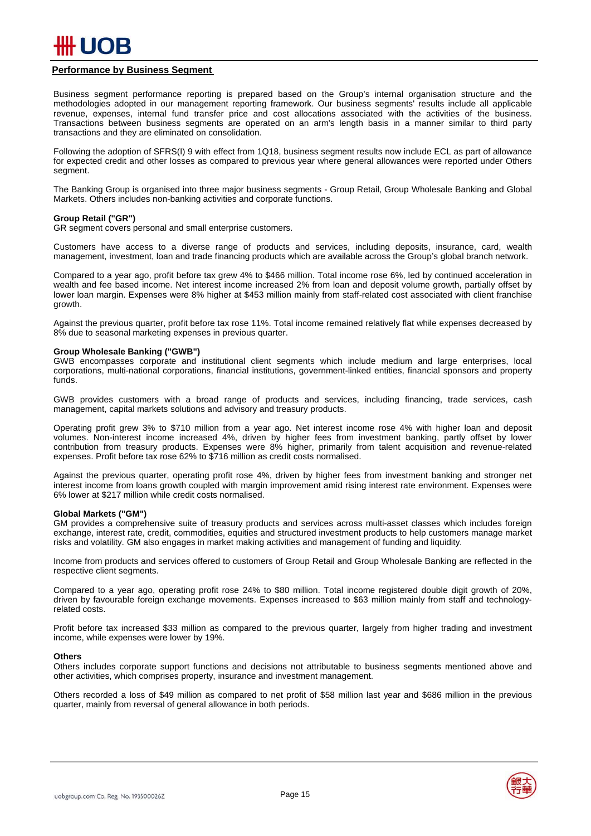### **Performance by Business Segment**

Business segment performance reporting is prepared based on the Group's internal organisation structure and the methodologies adopted in our management reporting framework. Our business segments' results include all applicable revenue, expenses, internal fund transfer price and cost allocations associated with the activities of the business. Transactions between business segments are operated on an arm's length basis in a manner similar to third party transactions and they are eliminated on consolidation.

Following the adoption of SFRS(I) 9 with effect from 1Q18, business segment results now include ECL as part of allowance for expected credit and other losses as compared to previous year where general allowances were reported under Others segment.

The Banking Group is organised into three major business segments - Group Retail, Group Wholesale Banking and Global Markets. Others includes non-banking activities and corporate functions.

#### **Group Retail ("GR")**

GR segment covers personal and small enterprise customers.

Customers have access to a diverse range of products and services, including deposits, insurance, card, wealth management, investment, loan and trade financing products which are available across the Group's global branch network.

Compared to a year ago, profit before tax grew 4% to \$466 million. Total income rose 6%, led by continued acceleration in wealth and fee based income. Net interest income increased 2% from loan and deposit volume growth, partially offset by lower loan margin. Expenses were 8% higher at \$453 million mainly from staff-related cost associated with client franchise growth.

Against the previous quarter, profit before tax rose 11%. Total income remained relatively flat while expenses decreased by 8% due to seasonal marketing expenses in previous quarter.

#### **Group Wholesale Banking ("GWB")**

GWB encompasses corporate and institutional client segments which include medium and large enterprises, local corporations, multi-national corporations, financial institutions, government-linked entities, financial sponsors and property funds.

GWB provides customers with a broad range of products and services, including financing, trade services, cash management, capital markets solutions and advisory and treasury products.

Operating profit grew 3% to \$710 million from a year ago. Net interest income rose 4% with higher loan and deposit volumes. Non-interest income increased 4%, driven by higher fees from investment banking, partly offset by lower contribution from treasury products. Expenses were 8% higher, primarily from talent acquisition and revenue-related expenses. Profit before tax rose 62% to \$716 million as credit costs normalised.

Against the previous quarter, operating profit rose 4%, driven by higher fees from investment banking and stronger net interest income from loans growth coupled with margin improvement amid rising interest rate environment. Expenses were 6% lower at \$217 million while credit costs normalised.

#### **Global Markets ("GM")**

GM provides a comprehensive suite of treasury products and services across multi-asset classes which includes foreign exchange, interest rate, credit, commodities, equities and structured investment products to help customers manage market risks and volatility. GM also engages in market making activities and management of funding and liquidity.

Income from products and services offered to customers of Group Retail and Group Wholesale Banking are reflected in the respective client segments.

Compared to a year ago, operating profit rose 24% to \$80 million. Total income registered double digit growth of 20%, driven by favourable foreign exchange movements. Expenses increased to \$63 million mainly from staff and technologyrelated costs.

Profit before tax increased \$33 million as compared to the previous quarter, largely from higher trading and investment income, while expenses were lower by 19%.

#### **Others**

Others includes corporate support functions and decisions not attributable to business segments mentioned above and other activities, which comprises property, insurance and investment management.

Others recorded a loss of \$49 million as compared to net profit of \$58 million last year and \$686 million in the previous quarter, mainly from reversal of general allowance in both periods.





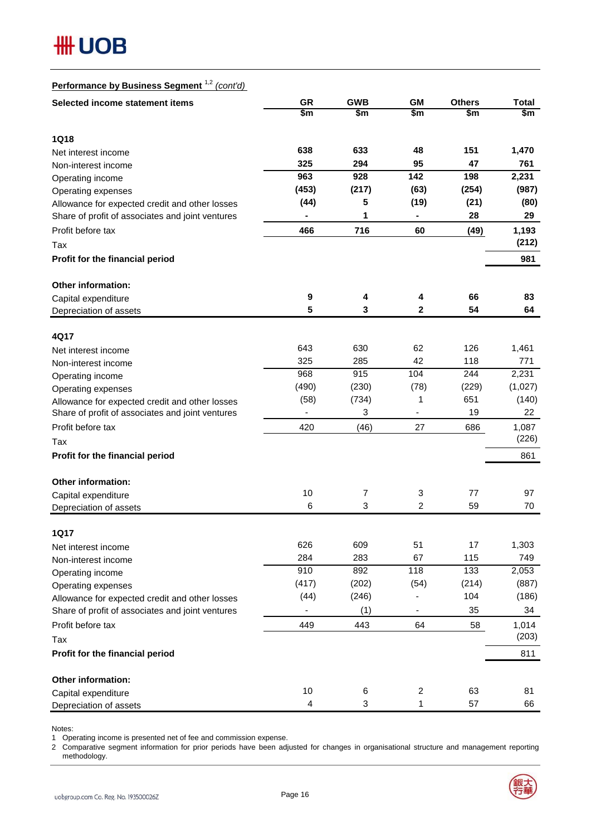

## **Performance by Business Segment** 1,2 *(cont'd)*

| Selected income statement items                  | <b>GR</b>               | <b>GWB</b> | <b>GM</b>                | <b>Others</b> | <b>Total</b> |
|--------------------------------------------------|-------------------------|------------|--------------------------|---------------|--------------|
|                                                  | \$m                     | \$m        | \$m                      | \$m           | \$m          |
| <b>1Q18</b>                                      |                         |            |                          |               |              |
| Net interest income                              | 638                     | 633        | 48                       | 151           | 1,470        |
| Non-interest income                              | 325                     | 294        | 95                       | 47            | 761          |
| Operating income                                 | 963                     | 928        | 142                      | 198           | 2,231        |
| Operating expenses                               | (453)                   | (217)      | (63)                     | (254)         | (987)        |
| Allowance for expected credit and other losses   | (44)                    | 5          | (19)                     | (21)          | (80)         |
| Share of profit of associates and joint ventures | ۰                       | 1          |                          | 28            | 29           |
| Profit before tax                                | 466                     | 716        | 60                       | (49)          | 1,193        |
| Tax                                              |                         |            |                          |               | (212)        |
| Profit for the financial period                  |                         |            |                          |               | 981          |
| <b>Other information:</b>                        |                         |            |                          |               |              |
| Capital expenditure                              | 9                       | 4          | 4                        | 66            | 83           |
| Depreciation of assets                           | 5                       | 3          | 2                        | 54            | 64           |
|                                                  |                         |            |                          |               |              |
| 4Q17                                             |                         |            |                          |               |              |
| Net interest income                              | 643                     | 630        | 62                       | 126           | 1,461        |
| Non-interest income                              | 325                     | 285        | 42                       | 118           | 771          |
| Operating income                                 | 968                     | 915        | 104                      | 244           | 2,231        |
| Operating expenses                               | (490)                   | (230)      | (78)                     | (229)         | (1,027)      |
| Allowance for expected credit and other losses   | (58)                    | (734)      | 1                        | 651           | (140)        |
| Share of profit of associates and joint ventures | $\frac{1}{2}$           | 3          | $\overline{\phantom{a}}$ | 19            | 22           |
| Profit before tax                                | 420                     | (46)       | 27                       | 686           | 1,087        |
| Tax                                              |                         |            |                          |               | (226)        |
| Profit for the financial period                  |                         |            |                          |               | 861          |
| Other information:                               |                         |            |                          |               |              |
| Capital expenditure                              | 10                      | 7          | 3                        | 77            | 97           |
| Depreciation of assets                           | 6                       | 3          | 2                        | 59            | 70           |
| <b>1Q17</b>                                      |                         |            |                          |               |              |
| Net interest income                              | 626                     | 609        | 51                       | 17            | 1,303        |
| Non-interest income                              | 284                     | 283        | 67                       | 115           | 749          |
| Operating income                                 | 910                     | 892        | 118                      | 133           | 2,053        |
| Operating expenses                               | (417)                   | (202)      | (54)                     | (214)         | (887)        |
| Allowance for expected credit and other losses   | (44)                    | (246)      |                          | 104           | (186)        |
| Share of profit of associates and joint ventures |                         | (1)        |                          | 35            | 34           |
| Profit before tax                                | 449                     | 443        | 64                       | 58            | 1,014        |
| Tax                                              |                         |            |                          |               | (203)        |
| Profit for the financial period                  |                         |            |                          |               | 811          |
| Other information:                               |                         |            |                          |               |              |
| Capital expenditure                              | 10                      | 6          | $\overline{\mathbf{c}}$  | 63            | 81           |
| Depreciation of assets                           | $\overline{\mathbf{4}}$ | 3          | 1                        | 57            | 66           |

Notes:

1 Operating income is presented net of fee and commission expense.

2 Comparative segment information for prior periods have been adjusted for changes in organisational structure and management reporting methodology.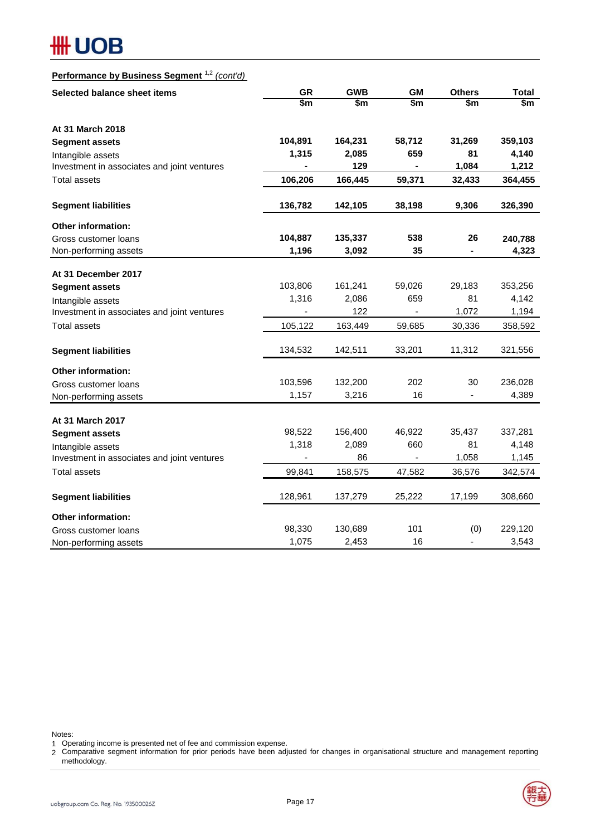## **#H UOB**

## **Performance by Business Segment** 1,2 *(cont'd)*

| Selected balance sheet items                | <b>GR</b>      | <b>GWB</b> | <b>GM</b>      | <b>Others</b> | <b>Total</b> |
|---------------------------------------------|----------------|------------|----------------|---------------|--------------|
|                                             | \$m            | \$m        | \$m            | \$m           | \$m\$        |
| At 31 March 2018                            |                |            |                |               |              |
| <b>Segment assets</b>                       | 104,891        | 164,231    | 58,712         | 31,269        | 359,103      |
| Intangible assets                           | 1,315          | 2,085      | 659            | 81            | 4,140        |
| Investment in associates and joint ventures |                | 129        |                | 1,084         | 1,212        |
| <b>Total assets</b>                         | 106,206        | 166,445    | 59,371         | 32,433        | 364,455      |
| <b>Segment liabilities</b>                  | 136,782        | 142,105    | 38,198         | 9,306         | 326,390      |
| Other information:                          |                |            |                |               |              |
| Gross customer loans                        | 104,887        | 135,337    | 538            | 26            | 240,788      |
| Non-performing assets                       | 1,196          | 3,092      | 35             | Ξ.            | 4,323        |
| At 31 December 2017                         |                |            |                |               |              |
| <b>Segment assets</b>                       | 103,806        | 161,241    | 59,026         | 29,183        | 353,256      |
| Intangible assets                           | 1,316          | 2,086      | 659            | 81            | 4,142        |
| Investment in associates and joint ventures | $\blacksquare$ | 122        | $\blacksquare$ | 1,072         | 1,194        |
| <b>Total assets</b>                         | 105,122        | 163,449    | 59,685         | 30,336        | 358,592      |
| <b>Segment liabilities</b>                  | 134,532        | 142,511    | 33,201         | 11,312        | 321,556      |
| Other information:                          |                |            |                |               |              |
| Gross customer loans                        | 103,596        | 132,200    | 202            | 30            | 236,028      |
| Non-performing assets                       | 1,157          | 3,216      | 16             |               | 4,389        |
|                                             |                |            |                |               |              |
| At 31 March 2017<br><b>Segment assets</b>   | 98,522         | 156,400    | 46,922         | 35,437        | 337,281      |
| Intangible assets                           | 1,318          | 2,089      | 660            | 81            | 4,148        |
| Investment in associates and joint ventures |                | 86         |                | 1,058         | 1,145        |
| <b>Total assets</b>                         | 99,841         | 158,575    | 47,582         | 36,576        | 342,574      |
|                                             |                |            |                |               |              |
| <b>Segment liabilities</b>                  | 128,961        | 137,279    | 25,222         | 17,199        | 308,660      |
| Other information:                          |                |            |                |               |              |
| Gross customer loans                        | 98,330         | 130,689    | 101            | (0)           | 229,120      |
| Non-performing assets                       | 1,075          | 2,453      | 16             | -             | 3,543        |

Notes:

1 Operating income is presented net of fee and commission expense.<br>2 Comparative segment information for prior periods have been adjusted for changes in organisational structure and management reporting methodology.



Operating income is presented net of fee and commission expense.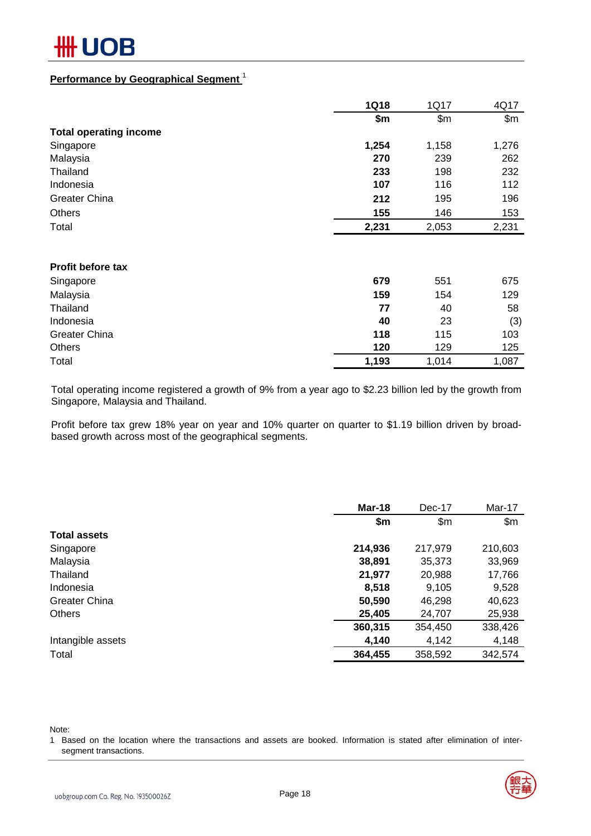# ОB

### **Performance by Geographical Segment** <sup>1</sup>

|                                                                            | <b>1Q18</b>       | 1Q17       | 4Q17       |
|----------------------------------------------------------------------------|-------------------|------------|------------|
|                                                                            | \$m               | \$m\$      | \$m\$      |
| <b>Total operating income</b>                                              |                   |            |            |
| Singapore                                                                  | 1,254             | 1,158      | 1,276      |
| Malaysia<br>Thailand<br>Indonesia<br><b>Greater China</b><br><b>Others</b> | 270               | 239        | 262        |
|                                                                            | 233               | 198        | 232        |
|                                                                            | 107<br>212<br>155 | 116        | 112<br>196 |
|                                                                            |                   | 195<br>146 |            |
|                                                                            |                   |            | 153        |
| Total                                                                      | 2,231             | 2,053      | 2,231      |
| Profit before tax                                                          |                   |            |            |
|                                                                            | 679               | 551        | 675        |
| Singapore                                                                  |                   |            |            |
| Malaysia                                                                   | 159               | 154        | 129        |
| Thailand                                                                   | 77                | 40         | 58         |
| Indonesia                                                                  | 40                | 23         | (3)        |
| <b>Greater China</b>                                                       | 118               | 115        | 103        |
| <b>Others</b>                                                              | 120               | 129        | 125        |
| Total                                                                      | 1,193             | 1,014      | 1,087      |

Total operating income registered a growth of 9% from a year ago to \$2.23 billion led by the growth from Singapore, Malaysia and Thailand.

Profit before tax grew 18% year on year and 10% quarter on quarter to \$1.19 billion driven by broadbased growth across most of the geographical segments.

|                      | Mar-18  | Dec-17  | Mar-17  |
|----------------------|---------|---------|---------|
|                      | \$m     | \$m\$   | \$m\$   |
| <b>Total assets</b>  |         |         |         |
| Singapore            | 214,936 | 217,979 | 210,603 |
| Malaysia             | 38,891  | 35,373  | 33,969  |
| Thailand             | 21,977  | 20,988  | 17,766  |
| Indonesia            | 8,518   | 9,105   | 9,528   |
| <b>Greater China</b> | 50,590  | 46,298  | 40,623  |
| <b>Others</b>        | 25,405  | 24,707  | 25,938  |
|                      | 360,315 | 354,450 | 338,426 |
| Intangible assets    | 4,140   | 4,142   | 4,148   |
| Total                | 364,455 | 358,592 | 342,574 |

Note:

1 Based on the location where the transactions and assets are booked. Information is stated after elimination of intersegment transactions.

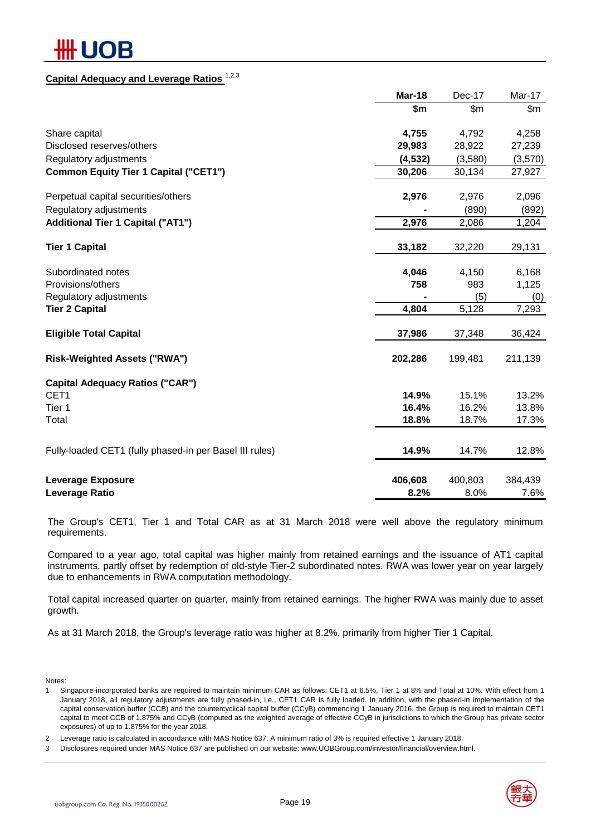## **JOB**

## **Capital Adequacy and Leverage Ratios** 1,2,3

|                                                         | Mar-18   | Dec-17  | Mar-17  |
|---------------------------------------------------------|----------|---------|---------|
|                                                         | \$m      | \$m\$   | \$m\$   |
| Share capital                                           | 4,755    | 4,792   | 4,258   |
| Disclosed reserves/others                               | 29,983   | 28,922  | 27,239  |
| Regulatory adjustments                                  | (4, 532) | (3,580) | (3,570) |
| <b>Common Equity Tier 1 Capital ("CET1")</b>            | 30,206   | 30,134  | 27,927  |
| Perpetual capital securities/others                     | 2,976    | 2,976   | 2,096   |
| Regulatory adjustments                                  |          | (890)   | (892)   |
| <b>Additional Tier 1 Capital ("AT1")</b>                | 2,976    | 2,086   | 1,204   |
| <b>Tier 1 Capital</b>                                   | 33,182   | 32,220  | 29,131  |
| Subordinated notes                                      | 4,046    | 4,150   | 6,168   |
| Provisions/others                                       | 758      | 983     | 1,125   |
| Regulatory adjustments                                  |          | (5)     | (0)     |
| <b>Tier 2 Capital</b>                                   | 4,804    | 5,128   | 7,293   |
| <b>Eligible Total Capital</b>                           | 37,986   | 37,348  | 36,424  |
| <b>Risk-Weighted Assets ("RWA")</b>                     | 202,286  | 199,481 | 211,139 |
| <b>Capital Adequacy Ratios ("CAR")</b>                  |          |         |         |
| CET1                                                    | 14.9%    | 15.1%   | 13.2%   |
| Tier 1                                                  | 16.4%    | 16.2%   | 13.8%   |
| Total                                                   | 18.8%    | 18.7%   | 17.3%   |
| Fully-loaded CET1 (fully phased-in per Basel III rules) | 14.9%    | 14.7%   | 12.8%   |
| <b>Leverage Exposure</b>                                | 406,608  | 400,803 | 384,439 |
| <b>Leverage Ratio</b>                                   | 8.2%     | 8.0%    | 7.6%    |

The Group's CET1, Tier 1 and Total CAR as at 31 March 2018 were well above the regulatory minimum requirements.

Compared to a year ago, total capital was higher mainly from retained earnings and the issuance of AT1 capital instruments, partly offset by redemption of old-style Tier-2 subordinated notes. RWA was lower year on year largely due to enhancements in RWA computation methodology.

Total capital increased quarter on quarter, mainly from retained earnings. The higher RWA was mainly due to asset growth.

As at 31 March 2018, the Group's leverage ratio was higher at 8.2%, primarily from higher Tier 1 Capital.

Notes:

1 Singapore-incorporated banks are required to maintain minimum CAR as follows: CET1 at 6.5%, Tier 1 at 8% and Total at 10%. With effect from 1 January 2018, all regulatory adjustments are fully phased-in, i.e., CET1 CAR is fully loaded. In addition, with the phased-in implementation of the capital conservation buffer (CCB) and the countercyclical capital buffer (CCyB) commencing 1 January 2016, the Group is required to maintain CET1 capital to meet CCB of 1.875% and CCyB (computed as the weighted average of effective CCyB in jurisdictions to which the Group has private sector exposures) of up to 1.875% for the year 2018.

2 Leverage ratio is calculated in accordance with MAS Notice 637. A minimum ratio of 3% is required effective 1 January 2018.

3 Disclosures required under MAS Notice 637 are published on our website: www.UOBGroup.com/investor/financial/overview.html.

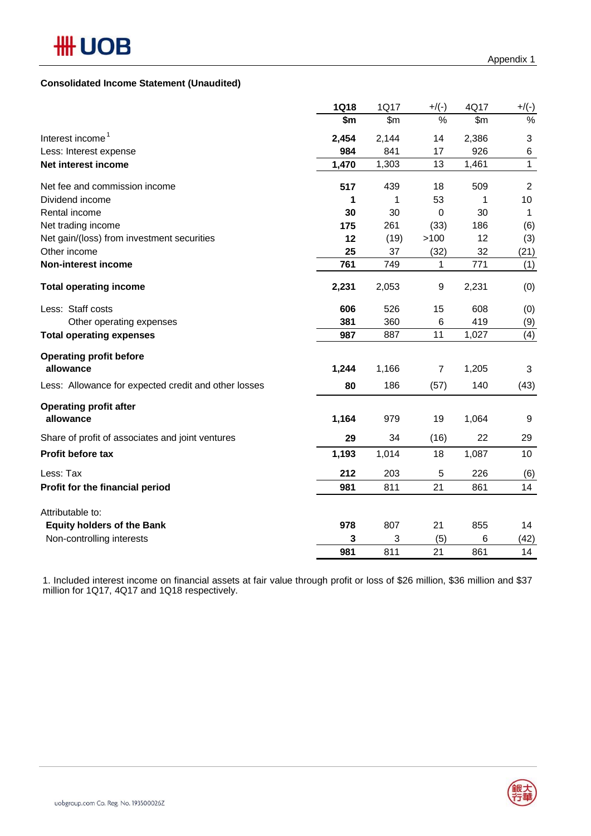## **Consolidated Income Statement (Unaudited)**

|                                                      | <b>1Q18</b> | 1Q17  | $+$ /(-)       | 4Q17          | $+/(-)$        |
|------------------------------------------------------|-------------|-------|----------------|---------------|----------------|
|                                                      | \$m         | \$m\$ | %              | $\mathsf{Sm}$ | $\frac{0}{0}$  |
| Interest income <sup>1</sup>                         | 2,454       | 2,144 | 14             | 2,386         | 3              |
| Less: Interest expense                               | 984         | 841   | 17             | 926           | 6              |
| Net interest income                                  | 1,470       | 1,303 | 13             | 1,461         | $\mathbf{1}$   |
| Net fee and commission income                        | 517         | 439   | 18             | 509           | $\overline{2}$ |
| Dividend income                                      | 1           | 1     | 53             | 1             | 10             |
| Rental income                                        | 30          | 30    | 0              | 30            | 1              |
| Net trading income                                   | 175         | 261   | (33)           | 186           | (6)            |
| Net gain/(loss) from investment securities           | 12          | (19)  | >100           | 12            | (3)            |
| Other income                                         | 25          | 37    | (32)           | 32            | (21)           |
| Non-interest income                                  | 761         | 749   | 1              | 771           | (1)            |
| <b>Total operating income</b>                        | 2,231       | 2,053 | 9              | 2,231         | (0)            |
| Less: Staff costs                                    | 606         | 526   | 15             | 608           | (0)            |
| Other operating expenses                             | 381         | 360   | 6              | 419           | (9)            |
| <b>Total operating expenses</b>                      | 987         | 887   | 11             | 1,027         | (4)            |
| <b>Operating profit before</b>                       |             |       |                |               |                |
| allowance                                            | 1,244       | 1,166 | $\overline{7}$ | 1,205         | 3              |
| Less: Allowance for expected credit and other losses | 80          | 186   | (57)           | 140           | (43)           |
| <b>Operating profit after</b>                        |             |       |                |               |                |
| allowance                                            | 1,164       | 979   | 19             | 1,064         | 9              |
| Share of profit of associates and joint ventures     | 29          | 34    | (16)           | 22            | 29             |
| Profit before tax                                    | 1,193       | 1,014 | 18             | 1,087         | 10             |
| Less: Tax                                            | 212         | 203   | 5              | 226           | (6)            |
| Profit for the financial period                      | 981         | 811   | 21             | 861           | 14             |
| Attributable to:                                     |             |       |                |               |                |
| <b>Equity holders of the Bank</b>                    | 978         | 807   | 21             | 855           | 14             |
| Non-controlling interests                            | 3           | 3     | (5)            | 6             | (42)           |
|                                                      | 981         | 811   | 21             | 861           | 14             |

1. Included interest income on financial assets at fair value through profit or loss of \$26 million, \$36 million and \$37 million for 1Q17, 4Q17 and 1Q18 respectively.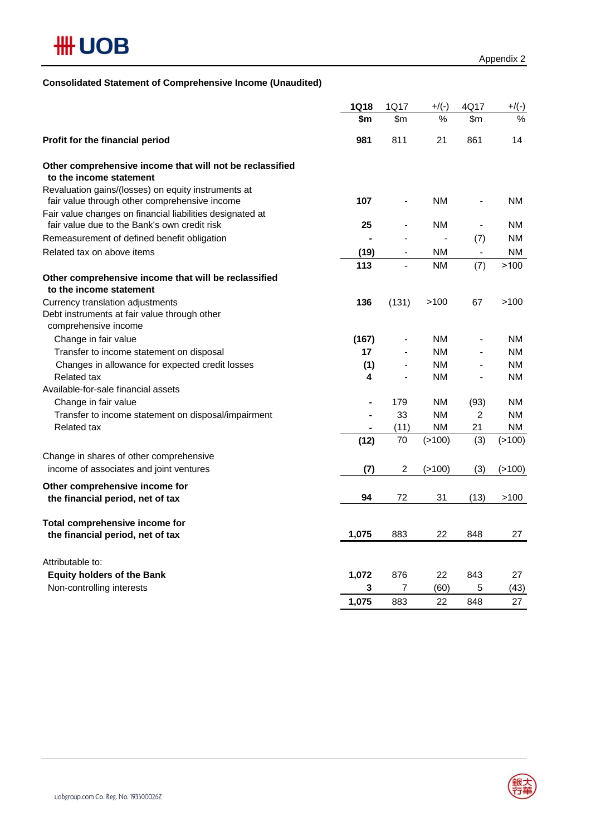

## **Consolidated Statement of Comprehensive Income (Unaudited)**

|                                                                                                           | <b>1Q18</b>    | 1Q17                         | $+$ /(-)  | 4Q17                     | $+/(-)$   |
|-----------------------------------------------------------------------------------------------------------|----------------|------------------------------|-----------|--------------------------|-----------|
|                                                                                                           | \$m            | \$m                          | %         | \$m\$                    | $\%$      |
| Profit for the financial period                                                                           | 981            | 811                          | 21        | 861                      | 14        |
| Other comprehensive income that will not be reclassified<br>to the income statement                       |                |                              |           |                          |           |
| Revaluation gains/(losses) on equity instruments at<br>fair value through other comprehensive income      | 107            | $\blacksquare$               | NM.       | $\blacksquare$           | NM.       |
| Fair value changes on financial liabilities designated at<br>fair value due to the Bank's own credit risk | 25             |                              | <b>NM</b> | $\blacksquare$           | NM        |
| Remeasurement of defined benefit obligation                                                               |                |                              |           | (7)                      | ΝM        |
| Related tax on above items                                                                                | (19)           | $\qquad \qquad \blacksquare$ | ΝM        | $\overline{\phantom{a}}$ | ΝM        |
|                                                                                                           | 113            | $\frac{1}{2}$                | <b>NM</b> | (7)                      | >100      |
| Other comprehensive income that will be reclassified<br>to the income statement                           |                |                              |           |                          |           |
| Currency translation adjustments<br>Debt instruments at fair value through other<br>comprehensive income  | 136            | (131)                        | >100      | 67                       | >100      |
| Change in fair value                                                                                      | (167)          |                              | <b>NM</b> |                          | <b>NM</b> |
| Transfer to income statement on disposal                                                                  | 17             |                              | <b>NM</b> |                          | NM.       |
| Changes in allowance for expected credit losses                                                           | (1)            |                              | <b>NM</b> |                          | NM.       |
| <b>Related tax</b>                                                                                        | 4              |                              | ΝM        | $\overline{\phantom{a}}$ | NM.       |
| Available-for-sale financial assets                                                                       |                |                              |           |                          |           |
| Change in fair value                                                                                      | $\blacksquare$ | 179                          | ΝM        | (93)                     | NM        |
| Transfer to income statement on disposal/impairment                                                       |                | 33                           | <b>NM</b> | $\overline{c}$           | NM.       |
| <b>Related tax</b>                                                                                        |                | (11)                         | <b>NM</b> | 21                       | NM.       |
|                                                                                                           | (12)           | 70                           | (>100)    | (3)                      | (>100)    |
| Change in shares of other comprehensive                                                                   |                |                              |           |                          |           |
| income of associates and joint ventures                                                                   | (7)            | 2                            | (>100)    | (3)                      | (>100)    |
| Other comprehensive income for                                                                            |                |                              |           |                          |           |
| the financial period, net of tax                                                                          | 94             | 72                           | 31        | (13)                     | >100      |
| Total comprehensive income for                                                                            |                |                              |           |                          |           |
| the financial period, net of tax                                                                          | 1,075          | 883                          | 22        | 848                      | 27        |
| Attributable to:                                                                                          |                |                              |           |                          |           |
| <b>Equity holders of the Bank</b>                                                                         | 1,072          | 876                          | 22        | 843                      | 27        |
| Non-controlling interests                                                                                 | 3              | 7                            | (60)      | 5                        | (43)      |
|                                                                                                           | 1,075          | 883                          | 22        | 848                      | 27        |

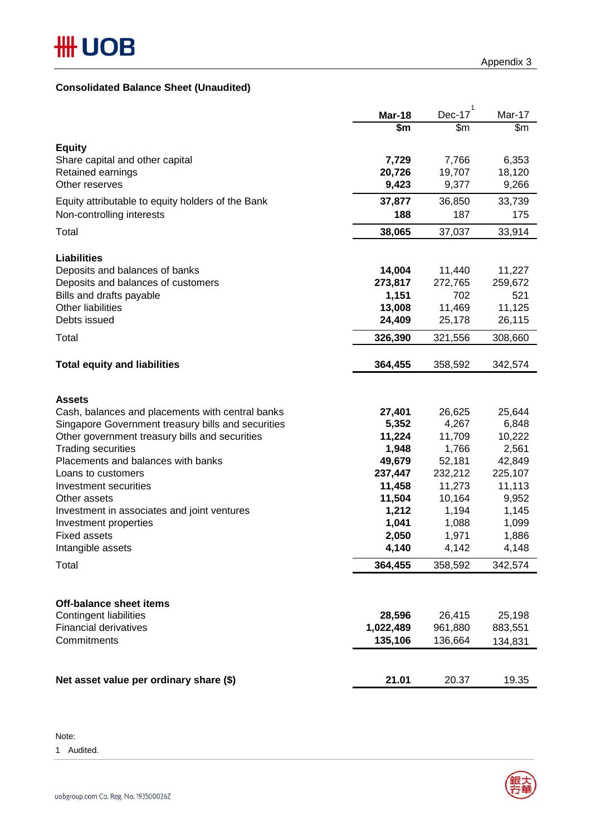## **Consolidated Balance Sheet (Unaudited)**

|                                                                 | <b>Mar-18</b> | 1<br>Dec-17       | Mar-17  |
|-----------------------------------------------------------------|---------------|-------------------|---------|
|                                                                 | \$m           | \$m               | \$m     |
| <b>Equity</b>                                                   |               |                   |         |
| Share capital and other capital                                 | 7,729         | 7,766             | 6,353   |
| Retained earnings                                               | 20,726        | 19,707            | 18,120  |
| Other reserves                                                  | 9,423         | 9,377             | 9,266   |
| Equity attributable to equity holders of the Bank               | 37,877        | 36,850            | 33,739  |
| Non-controlling interests                                       | 188           | 187               | 175     |
|                                                                 |               |                   |         |
| Total                                                           | 38,065        | 37,037            | 33,914  |
|                                                                 |               |                   |         |
| <b>Liabilities</b>                                              |               |                   |         |
| Deposits and balances of banks                                  | 14,004        | 11,440            | 11,227  |
| Deposits and balances of customers                              | 273,817       | 272,765           | 259,672 |
| Bills and drafts payable                                        | 1,151         | 702               | 521     |
| <b>Other liabilities</b>                                        | 13,008        | 11,469            | 11,125  |
| Debts issued                                                    | 24,409        | 25,178            | 26,115  |
| Total                                                           | 326,390       | 321,556           | 308,660 |
|                                                                 |               |                   |         |
| <b>Total equity and liabilities</b>                             | 364,455       | 358,592           | 342,574 |
|                                                                 |               |                   |         |
|                                                                 |               |                   |         |
| <b>Assets</b>                                                   |               |                   |         |
| Cash, balances and placements with central banks                | 27,401        | 26,625            | 25,644  |
| Singapore Government treasury bills and securities              | 5,352         | 4,267             | 6,848   |
| Other government treasury bills and securities                  | 11,224        | 11,709            | 10,222  |
| <b>Trading securities</b><br>Placements and balances with banks | 1,948         | 1,766             | 2,561   |
| Loans to customers                                              | 49,679        | 52,181<br>232,212 | 42,849  |
|                                                                 | 237,447       |                   | 225,107 |
| Investment securities                                           | 11,458        | 11,273<br>10,164  | 11,113  |
| Other assets                                                    | 11,504        |                   | 9,952   |
| Investment in associates and joint ventures                     | 1,212         | 1,194             | 1,145   |
| Investment properties                                           | 1,041         | 1,088             | 1,099   |
| <b>Fixed assets</b>                                             | 2,050         | 1,971             | 1,886   |
| Intangible assets                                               | 4,140         | 4,142             | 4,148   |
| Total                                                           | 364,455       | 358,592           | 342,574 |
|                                                                 |               |                   |         |
|                                                                 |               |                   |         |
| <b>Off-balance sheet items</b>                                  |               |                   |         |
| <b>Contingent liabilities</b>                                   | 28,596        | 26,415            | 25,198  |
| <b>Financial derivatives</b>                                    | 1,022,489     | 961,880           | 883,551 |
| Commitments                                                     | 135,106       | 136,664           | 134,831 |
|                                                                 |               |                   |         |
|                                                                 |               |                   |         |
| Net asset value per ordinary share (\$)                         | 21.01         | 20.37             | 19.35   |

Note:

1 Audited.

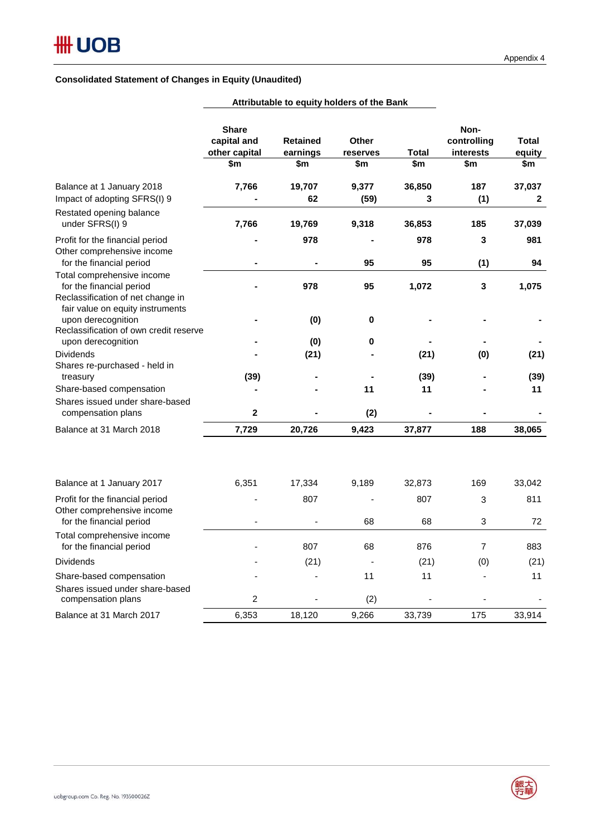### **Consolidated Statement of Changes in Equity (Unaudited)**

|                                                                                                                         | <b>Share</b><br>capital and<br>other capital<br>\$m | <b>Retained</b><br>earnings<br>\$m | <b>Other</b><br>reserves<br>\$m | Total<br>\$m | Non-<br>controlling<br>interests<br>\$m | <b>Total</b><br>equity<br>\$m |
|-------------------------------------------------------------------------------------------------------------------------|-----------------------------------------------------|------------------------------------|---------------------------------|--------------|-----------------------------------------|-------------------------------|
| Balance at 1 January 2018<br>Impact of adopting SFRS(I) 9                                                               | 7,766                                               | 19,707<br>62                       | 9,377<br>(59)                   | 36,850<br>3  | 187<br>(1)                              | 37,037<br>2                   |
| Restated opening balance<br>under SFRS(I) 9                                                                             | 7,766                                               | 19,769                             | 9,318                           | 36,853       | 185                                     | 37,039                        |
| Profit for the financial period<br>Other comprehensive income                                                           |                                                     | 978                                |                                 | 978          | 3                                       | 981                           |
| for the financial period<br>Total comprehensive income<br>for the financial period<br>Reclassification of net change in |                                                     | 978                                | 95<br>95                        | 95<br>1,072  | (1)<br>$\mathbf 3$                      | 94<br>1,075                   |
| fair value on equity instruments<br>upon derecognition<br>Reclassification of own credit reserve                        |                                                     | (0)                                | 0                               |              |                                         |                               |
| upon derecognition<br><b>Dividends</b><br>Shares re-purchased - held in                                                 |                                                     | (0)<br>(21)                        | 0                               | (21)         | (0)                                     | (21)                          |
| treasury<br>Share-based compensation                                                                                    | (39)                                                |                                    | 11                              | (39)<br>11   |                                         | (39)<br>11                    |
| Shares issued under share-based<br>compensation plans                                                                   | $\mathbf{2}$                                        |                                    | (2)                             |              |                                         |                               |
| Balance at 31 March 2018                                                                                                | 7,729                                               | 20,726                             | 9,423                           | 37,877       | 188                                     | 38,065                        |
| Balance at 1 January 2017                                                                                               | 6,351                                               | 17,334                             | 9,189                           | 32,873       | 169                                     | 33,042                        |
| Profit for the financial period<br>Other comprehensive income                                                           |                                                     | 807                                |                                 | 807          | 3<br>$\mathbf{3}$                       | 811                           |
| for the financial period<br>Total comprehensive income<br>for the financial period                                      |                                                     | 807                                | 68<br>68                        | 68<br>876    | $\overline{7}$                          | 72<br>883                     |
| <b>Dividends</b>                                                                                                        |                                                     | (21)                               |                                 | (21)         | (0)                                     | (21)                          |
| Share-based compensation<br>Shares issued under share-based                                                             |                                                     |                                    | 11                              | 11           |                                         | 11                            |
| compensation plans                                                                                                      | $\overline{c}$                                      |                                    | (2)                             |              |                                         |                               |
| Balance at 31 March 2017                                                                                                | 6,353                                               | 18,120                             | 9,266                           | 33,739       | 175                                     | 33,914                        |

## **Attributable to equity holders of the Bank**

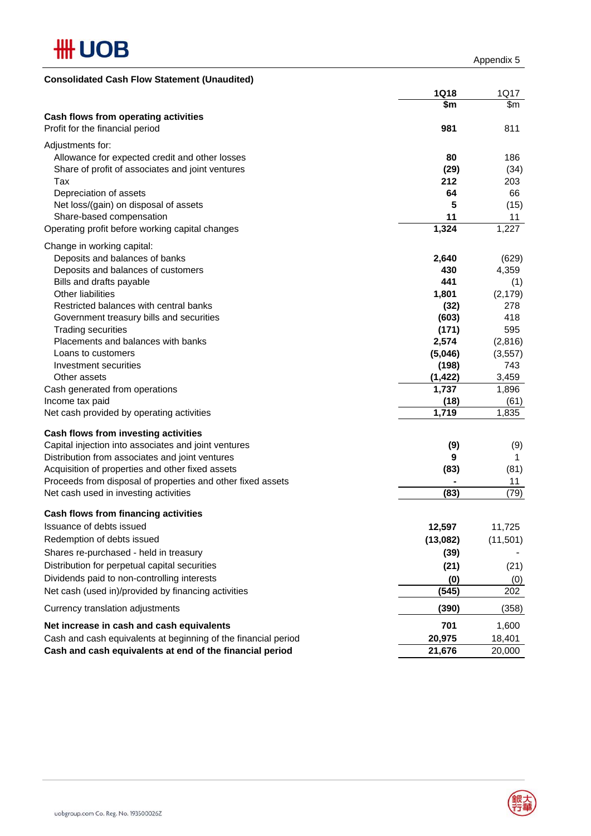

| <b>1Q18</b><br>1Q17<br>\$m<br>\$m<br>Cash flows from operating activities<br>Profit for the financial period<br>981<br>811<br>Adjustments for:<br>80<br>Allowance for expected credit and other losses<br>186<br>Share of profit of associates and joint ventures<br>(29)<br>212<br>Tax<br>203<br>Depreciation of assets<br>64<br>66<br>Net loss/(gain) on disposal of assets<br>5<br>(15)<br>Share-based compensation<br>11<br>11<br>1,324<br>1,227<br>Operating profit before working capital changes<br>Change in working capital:<br>Deposits and balances of banks<br>2,640<br>(629)<br>Deposits and balances of customers<br>430<br>4,359<br>441<br>(1)<br>Bills and drafts payable<br>Other liabilities<br>1,801<br>(2, 179)<br>Restricted balances with central banks<br>(32)<br>278<br>418<br>(603)<br>Government treasury bills and securities<br><b>Trading securities</b><br>(171)<br>595<br>Placements and balances with banks<br>2,574<br>(2,816)<br>Loans to customers<br>(5,046)<br>(3, 557)<br>(198)<br>743<br>Investment securities<br>(1, 422)<br>3,459<br>Other assets<br>1,737<br>1,896<br>Cash generated from operations<br>(18)<br>(61)<br>Income tax paid<br>1,719<br>Net cash provided by operating activities<br>1,835<br>Cash flows from investing activities<br>Capital injection into associates and joint ventures<br>(9)<br>(9)<br>Distribution from associates and joint ventures<br>9<br>1<br>Acquisition of properties and other fixed assets<br>(83)<br>(81)<br>Proceeds from disposal of properties and other fixed assets<br>11<br>(79)<br>Net cash used in investing activities<br>(83)<br>Cash flows from financing activities<br>12,597<br>Issuance of debts issued<br>11,725<br>Redemption of debts issued<br>(13,082)<br>(11,501)<br>Shares re-purchased - held in treasury<br>(39)<br>Distribution for perpetual capital securities<br>(21)<br>(21)<br>Dividends paid to non-controlling interests<br>(0)<br>(0)<br>Net cash (used in)/provided by financing activities<br>(545)<br>202<br>(390)<br>Currency translation adjustments<br>Net increase in cash and cash equivalents<br>701<br>1,600<br>Cash and cash equivalents at beginning of the financial period<br>20,975<br>18,401<br>Cash and cash equivalents at end of the financial period<br>21,676<br>20,000 | <b>Consolidated Cash Flow Statement (Unaudited)</b> |       |
|--------------------------------------------------------------------------------------------------------------------------------------------------------------------------------------------------------------------------------------------------------------------------------------------------------------------------------------------------------------------------------------------------------------------------------------------------------------------------------------------------------------------------------------------------------------------------------------------------------------------------------------------------------------------------------------------------------------------------------------------------------------------------------------------------------------------------------------------------------------------------------------------------------------------------------------------------------------------------------------------------------------------------------------------------------------------------------------------------------------------------------------------------------------------------------------------------------------------------------------------------------------------------------------------------------------------------------------------------------------------------------------------------------------------------------------------------------------------------------------------------------------------------------------------------------------------------------------------------------------------------------------------------------------------------------------------------------------------------------------------------------------------------------------------------------------------------------------------------------------------------------------------------------------------------------------------------------------------------------------------------------------------------------------------------------------------------------------------------------------------------------------------------------------------------------------------------------------------------------------------------------------------------------------------------------------------|-----------------------------------------------------|-------|
|                                                                                                                                                                                                                                                                                                                                                                                                                                                                                                                                                                                                                                                                                                                                                                                                                                                                                                                                                                                                                                                                                                                                                                                                                                                                                                                                                                                                                                                                                                                                                                                                                                                                                                                                                                                                                                                                                                                                                                                                                                                                                                                                                                                                                                                                                                                    |                                                     |       |
|                                                                                                                                                                                                                                                                                                                                                                                                                                                                                                                                                                                                                                                                                                                                                                                                                                                                                                                                                                                                                                                                                                                                                                                                                                                                                                                                                                                                                                                                                                                                                                                                                                                                                                                                                                                                                                                                                                                                                                                                                                                                                                                                                                                                                                                                                                                    |                                                     |       |
|                                                                                                                                                                                                                                                                                                                                                                                                                                                                                                                                                                                                                                                                                                                                                                                                                                                                                                                                                                                                                                                                                                                                                                                                                                                                                                                                                                                                                                                                                                                                                                                                                                                                                                                                                                                                                                                                                                                                                                                                                                                                                                                                                                                                                                                                                                                    |                                                     |       |
|                                                                                                                                                                                                                                                                                                                                                                                                                                                                                                                                                                                                                                                                                                                                                                                                                                                                                                                                                                                                                                                                                                                                                                                                                                                                                                                                                                                                                                                                                                                                                                                                                                                                                                                                                                                                                                                                                                                                                                                                                                                                                                                                                                                                                                                                                                                    |                                                     |       |
|                                                                                                                                                                                                                                                                                                                                                                                                                                                                                                                                                                                                                                                                                                                                                                                                                                                                                                                                                                                                                                                                                                                                                                                                                                                                                                                                                                                                                                                                                                                                                                                                                                                                                                                                                                                                                                                                                                                                                                                                                                                                                                                                                                                                                                                                                                                    |                                                     |       |
|                                                                                                                                                                                                                                                                                                                                                                                                                                                                                                                                                                                                                                                                                                                                                                                                                                                                                                                                                                                                                                                                                                                                                                                                                                                                                                                                                                                                                                                                                                                                                                                                                                                                                                                                                                                                                                                                                                                                                                                                                                                                                                                                                                                                                                                                                                                    |                                                     |       |
|                                                                                                                                                                                                                                                                                                                                                                                                                                                                                                                                                                                                                                                                                                                                                                                                                                                                                                                                                                                                                                                                                                                                                                                                                                                                                                                                                                                                                                                                                                                                                                                                                                                                                                                                                                                                                                                                                                                                                                                                                                                                                                                                                                                                                                                                                                                    |                                                     | (34)  |
|                                                                                                                                                                                                                                                                                                                                                                                                                                                                                                                                                                                                                                                                                                                                                                                                                                                                                                                                                                                                                                                                                                                                                                                                                                                                                                                                                                                                                                                                                                                                                                                                                                                                                                                                                                                                                                                                                                                                                                                                                                                                                                                                                                                                                                                                                                                    |                                                     |       |
|                                                                                                                                                                                                                                                                                                                                                                                                                                                                                                                                                                                                                                                                                                                                                                                                                                                                                                                                                                                                                                                                                                                                                                                                                                                                                                                                                                                                                                                                                                                                                                                                                                                                                                                                                                                                                                                                                                                                                                                                                                                                                                                                                                                                                                                                                                                    |                                                     |       |
|                                                                                                                                                                                                                                                                                                                                                                                                                                                                                                                                                                                                                                                                                                                                                                                                                                                                                                                                                                                                                                                                                                                                                                                                                                                                                                                                                                                                                                                                                                                                                                                                                                                                                                                                                                                                                                                                                                                                                                                                                                                                                                                                                                                                                                                                                                                    |                                                     |       |
|                                                                                                                                                                                                                                                                                                                                                                                                                                                                                                                                                                                                                                                                                                                                                                                                                                                                                                                                                                                                                                                                                                                                                                                                                                                                                                                                                                                                                                                                                                                                                                                                                                                                                                                                                                                                                                                                                                                                                                                                                                                                                                                                                                                                                                                                                                                    |                                                     |       |
|                                                                                                                                                                                                                                                                                                                                                                                                                                                                                                                                                                                                                                                                                                                                                                                                                                                                                                                                                                                                                                                                                                                                                                                                                                                                                                                                                                                                                                                                                                                                                                                                                                                                                                                                                                                                                                                                                                                                                                                                                                                                                                                                                                                                                                                                                                                    |                                                     |       |
|                                                                                                                                                                                                                                                                                                                                                                                                                                                                                                                                                                                                                                                                                                                                                                                                                                                                                                                                                                                                                                                                                                                                                                                                                                                                                                                                                                                                                                                                                                                                                                                                                                                                                                                                                                                                                                                                                                                                                                                                                                                                                                                                                                                                                                                                                                                    |                                                     |       |
|                                                                                                                                                                                                                                                                                                                                                                                                                                                                                                                                                                                                                                                                                                                                                                                                                                                                                                                                                                                                                                                                                                                                                                                                                                                                                                                                                                                                                                                                                                                                                                                                                                                                                                                                                                                                                                                                                                                                                                                                                                                                                                                                                                                                                                                                                                                    |                                                     |       |
|                                                                                                                                                                                                                                                                                                                                                                                                                                                                                                                                                                                                                                                                                                                                                                                                                                                                                                                                                                                                                                                                                                                                                                                                                                                                                                                                                                                                                                                                                                                                                                                                                                                                                                                                                                                                                                                                                                                                                                                                                                                                                                                                                                                                                                                                                                                    |                                                     |       |
|                                                                                                                                                                                                                                                                                                                                                                                                                                                                                                                                                                                                                                                                                                                                                                                                                                                                                                                                                                                                                                                                                                                                                                                                                                                                                                                                                                                                                                                                                                                                                                                                                                                                                                                                                                                                                                                                                                                                                                                                                                                                                                                                                                                                                                                                                                                    |                                                     |       |
|                                                                                                                                                                                                                                                                                                                                                                                                                                                                                                                                                                                                                                                                                                                                                                                                                                                                                                                                                                                                                                                                                                                                                                                                                                                                                                                                                                                                                                                                                                                                                                                                                                                                                                                                                                                                                                                                                                                                                                                                                                                                                                                                                                                                                                                                                                                    |                                                     |       |
|                                                                                                                                                                                                                                                                                                                                                                                                                                                                                                                                                                                                                                                                                                                                                                                                                                                                                                                                                                                                                                                                                                                                                                                                                                                                                                                                                                                                                                                                                                                                                                                                                                                                                                                                                                                                                                                                                                                                                                                                                                                                                                                                                                                                                                                                                                                    |                                                     |       |
|                                                                                                                                                                                                                                                                                                                                                                                                                                                                                                                                                                                                                                                                                                                                                                                                                                                                                                                                                                                                                                                                                                                                                                                                                                                                                                                                                                                                                                                                                                                                                                                                                                                                                                                                                                                                                                                                                                                                                                                                                                                                                                                                                                                                                                                                                                                    |                                                     |       |
|                                                                                                                                                                                                                                                                                                                                                                                                                                                                                                                                                                                                                                                                                                                                                                                                                                                                                                                                                                                                                                                                                                                                                                                                                                                                                                                                                                                                                                                                                                                                                                                                                                                                                                                                                                                                                                                                                                                                                                                                                                                                                                                                                                                                                                                                                                                    |                                                     |       |
|                                                                                                                                                                                                                                                                                                                                                                                                                                                                                                                                                                                                                                                                                                                                                                                                                                                                                                                                                                                                                                                                                                                                                                                                                                                                                                                                                                                                                                                                                                                                                                                                                                                                                                                                                                                                                                                                                                                                                                                                                                                                                                                                                                                                                                                                                                                    |                                                     |       |
|                                                                                                                                                                                                                                                                                                                                                                                                                                                                                                                                                                                                                                                                                                                                                                                                                                                                                                                                                                                                                                                                                                                                                                                                                                                                                                                                                                                                                                                                                                                                                                                                                                                                                                                                                                                                                                                                                                                                                                                                                                                                                                                                                                                                                                                                                                                    |                                                     |       |
|                                                                                                                                                                                                                                                                                                                                                                                                                                                                                                                                                                                                                                                                                                                                                                                                                                                                                                                                                                                                                                                                                                                                                                                                                                                                                                                                                                                                                                                                                                                                                                                                                                                                                                                                                                                                                                                                                                                                                                                                                                                                                                                                                                                                                                                                                                                    |                                                     |       |
|                                                                                                                                                                                                                                                                                                                                                                                                                                                                                                                                                                                                                                                                                                                                                                                                                                                                                                                                                                                                                                                                                                                                                                                                                                                                                                                                                                                                                                                                                                                                                                                                                                                                                                                                                                                                                                                                                                                                                                                                                                                                                                                                                                                                                                                                                                                    |                                                     |       |
|                                                                                                                                                                                                                                                                                                                                                                                                                                                                                                                                                                                                                                                                                                                                                                                                                                                                                                                                                                                                                                                                                                                                                                                                                                                                                                                                                                                                                                                                                                                                                                                                                                                                                                                                                                                                                                                                                                                                                                                                                                                                                                                                                                                                                                                                                                                    |                                                     |       |
|                                                                                                                                                                                                                                                                                                                                                                                                                                                                                                                                                                                                                                                                                                                                                                                                                                                                                                                                                                                                                                                                                                                                                                                                                                                                                                                                                                                                                                                                                                                                                                                                                                                                                                                                                                                                                                                                                                                                                                                                                                                                                                                                                                                                                                                                                                                    |                                                     |       |
|                                                                                                                                                                                                                                                                                                                                                                                                                                                                                                                                                                                                                                                                                                                                                                                                                                                                                                                                                                                                                                                                                                                                                                                                                                                                                                                                                                                                                                                                                                                                                                                                                                                                                                                                                                                                                                                                                                                                                                                                                                                                                                                                                                                                                                                                                                                    |                                                     |       |
|                                                                                                                                                                                                                                                                                                                                                                                                                                                                                                                                                                                                                                                                                                                                                                                                                                                                                                                                                                                                                                                                                                                                                                                                                                                                                                                                                                                                                                                                                                                                                                                                                                                                                                                                                                                                                                                                                                                                                                                                                                                                                                                                                                                                                                                                                                                    |                                                     |       |
|                                                                                                                                                                                                                                                                                                                                                                                                                                                                                                                                                                                                                                                                                                                                                                                                                                                                                                                                                                                                                                                                                                                                                                                                                                                                                                                                                                                                                                                                                                                                                                                                                                                                                                                                                                                                                                                                                                                                                                                                                                                                                                                                                                                                                                                                                                                    |                                                     |       |
|                                                                                                                                                                                                                                                                                                                                                                                                                                                                                                                                                                                                                                                                                                                                                                                                                                                                                                                                                                                                                                                                                                                                                                                                                                                                                                                                                                                                                                                                                                                                                                                                                                                                                                                                                                                                                                                                                                                                                                                                                                                                                                                                                                                                                                                                                                                    |                                                     |       |
|                                                                                                                                                                                                                                                                                                                                                                                                                                                                                                                                                                                                                                                                                                                                                                                                                                                                                                                                                                                                                                                                                                                                                                                                                                                                                                                                                                                                                                                                                                                                                                                                                                                                                                                                                                                                                                                                                                                                                                                                                                                                                                                                                                                                                                                                                                                    |                                                     |       |
|                                                                                                                                                                                                                                                                                                                                                                                                                                                                                                                                                                                                                                                                                                                                                                                                                                                                                                                                                                                                                                                                                                                                                                                                                                                                                                                                                                                                                                                                                                                                                                                                                                                                                                                                                                                                                                                                                                                                                                                                                                                                                                                                                                                                                                                                                                                    |                                                     |       |
|                                                                                                                                                                                                                                                                                                                                                                                                                                                                                                                                                                                                                                                                                                                                                                                                                                                                                                                                                                                                                                                                                                                                                                                                                                                                                                                                                                                                                                                                                                                                                                                                                                                                                                                                                                                                                                                                                                                                                                                                                                                                                                                                                                                                                                                                                                                    |                                                     |       |
|                                                                                                                                                                                                                                                                                                                                                                                                                                                                                                                                                                                                                                                                                                                                                                                                                                                                                                                                                                                                                                                                                                                                                                                                                                                                                                                                                                                                                                                                                                                                                                                                                                                                                                                                                                                                                                                                                                                                                                                                                                                                                                                                                                                                                                                                                                                    |                                                     |       |
|                                                                                                                                                                                                                                                                                                                                                                                                                                                                                                                                                                                                                                                                                                                                                                                                                                                                                                                                                                                                                                                                                                                                                                                                                                                                                                                                                                                                                                                                                                                                                                                                                                                                                                                                                                                                                                                                                                                                                                                                                                                                                                                                                                                                                                                                                                                    |                                                     |       |
|                                                                                                                                                                                                                                                                                                                                                                                                                                                                                                                                                                                                                                                                                                                                                                                                                                                                                                                                                                                                                                                                                                                                                                                                                                                                                                                                                                                                                                                                                                                                                                                                                                                                                                                                                                                                                                                                                                                                                                                                                                                                                                                                                                                                                                                                                                                    |                                                     |       |
|                                                                                                                                                                                                                                                                                                                                                                                                                                                                                                                                                                                                                                                                                                                                                                                                                                                                                                                                                                                                                                                                                                                                                                                                                                                                                                                                                                                                                                                                                                                                                                                                                                                                                                                                                                                                                                                                                                                                                                                                                                                                                                                                                                                                                                                                                                                    |                                                     |       |
|                                                                                                                                                                                                                                                                                                                                                                                                                                                                                                                                                                                                                                                                                                                                                                                                                                                                                                                                                                                                                                                                                                                                                                                                                                                                                                                                                                                                                                                                                                                                                                                                                                                                                                                                                                                                                                                                                                                                                                                                                                                                                                                                                                                                                                                                                                                    |                                                     |       |
|                                                                                                                                                                                                                                                                                                                                                                                                                                                                                                                                                                                                                                                                                                                                                                                                                                                                                                                                                                                                                                                                                                                                                                                                                                                                                                                                                                                                                                                                                                                                                                                                                                                                                                                                                                                                                                                                                                                                                                                                                                                                                                                                                                                                                                                                                                                    |                                                     |       |
|                                                                                                                                                                                                                                                                                                                                                                                                                                                                                                                                                                                                                                                                                                                                                                                                                                                                                                                                                                                                                                                                                                                                                                                                                                                                                                                                                                                                                                                                                                                                                                                                                                                                                                                                                                                                                                                                                                                                                                                                                                                                                                                                                                                                                                                                                                                    |                                                     |       |
|                                                                                                                                                                                                                                                                                                                                                                                                                                                                                                                                                                                                                                                                                                                                                                                                                                                                                                                                                                                                                                                                                                                                                                                                                                                                                                                                                                                                                                                                                                                                                                                                                                                                                                                                                                                                                                                                                                                                                                                                                                                                                                                                                                                                                                                                                                                    |                                                     |       |
|                                                                                                                                                                                                                                                                                                                                                                                                                                                                                                                                                                                                                                                                                                                                                                                                                                                                                                                                                                                                                                                                                                                                                                                                                                                                                                                                                                                                                                                                                                                                                                                                                                                                                                                                                                                                                                                                                                                                                                                                                                                                                                                                                                                                                                                                                                                    |                                                     | (358) |
|                                                                                                                                                                                                                                                                                                                                                                                                                                                                                                                                                                                                                                                                                                                                                                                                                                                                                                                                                                                                                                                                                                                                                                                                                                                                                                                                                                                                                                                                                                                                                                                                                                                                                                                                                                                                                                                                                                                                                                                                                                                                                                                                                                                                                                                                                                                    |                                                     |       |
|                                                                                                                                                                                                                                                                                                                                                                                                                                                                                                                                                                                                                                                                                                                                                                                                                                                                                                                                                                                                                                                                                                                                                                                                                                                                                                                                                                                                                                                                                                                                                                                                                                                                                                                                                                                                                                                                                                                                                                                                                                                                                                                                                                                                                                                                                                                    |                                                     |       |
|                                                                                                                                                                                                                                                                                                                                                                                                                                                                                                                                                                                                                                                                                                                                                                                                                                                                                                                                                                                                                                                                                                                                                                                                                                                                                                                                                                                                                                                                                                                                                                                                                                                                                                                                                                                                                                                                                                                                                                                                                                                                                                                                                                                                                                                                                                                    |                                                     |       |

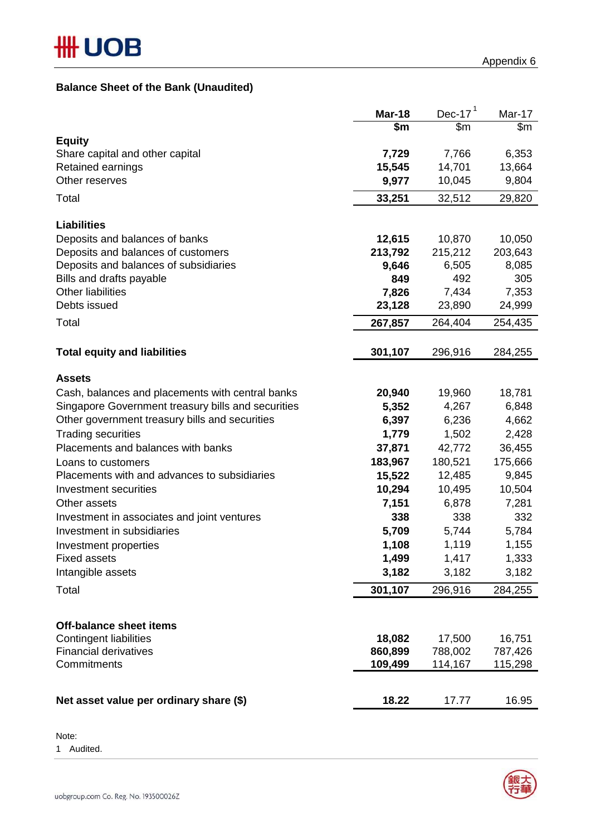## **Balance Sheet of the Bank (Unaudited)**

|                                                      | Mar-18          | Dec-17 $1$      | Mar-17          |
|------------------------------------------------------|-----------------|-----------------|-----------------|
|                                                      | \$m             | \$m\$           | \$m             |
| <b>Equity</b>                                        |                 |                 |                 |
| Share capital and other capital<br>Retained earnings | 7,729<br>15,545 | 7,766<br>14,701 | 6,353<br>13,664 |
| Other reserves                                       | 9,977           | 10,045          | 9,804           |
|                                                      |                 |                 |                 |
| Total                                                | 33,251          | 32,512          | 29,820          |
| <b>Liabilities</b>                                   |                 |                 |                 |
| Deposits and balances of banks                       | 12,615          | 10,870          | 10,050          |
| Deposits and balances of customers                   | 213,792         | 215,212         | 203,643         |
| Deposits and balances of subsidiaries                | 9,646           | 6,505           | 8,085           |
| Bills and drafts payable                             | 849             | 492             | 305             |
| <b>Other liabilities</b>                             | 7,826           | 7,434           | 7,353           |
| Debts issued                                         | 23,128          | 23,890          | 24,999          |
| Total                                                | 267,857         | 264,404         | 254,435         |
|                                                      |                 |                 |                 |
| <b>Total equity and liabilities</b>                  | 301,107         | 296,916         | 284,255         |
| <b>Assets</b>                                        |                 |                 |                 |
| Cash, balances and placements with central banks     | 20,940          | 19,960          | 18,781          |
| Singapore Government treasury bills and securities   | 5,352           | 4,267           | 6,848           |
| Other government treasury bills and securities       | 6,397           | 6,236           | 4,662           |
| <b>Trading securities</b>                            | 1,779           | 1,502           | 2,428           |
| Placements and balances with banks                   | 37,871          | 42,772          | 36,455          |
| Loans to customers                                   | 183,967         | 180,521         | 175,666         |
| Placements with and advances to subsidiaries         | 15,522          | 12,485          | 9,845           |
| Investment securities                                | 10,294          | 10,495          | 10,504          |
| Other assets                                         | 7,151           | 6,878           | 7,281           |
| Investment in associates and joint ventures          | 338             | 338             | 332             |
| Investment in subsidiaries                           | 5,709           | 5,744           | 5,784           |
| Investment properties                                | 1,108           | 1,119           | 1,155           |
| <b>Fixed assets</b>                                  | 1,499           | 1,417           | 1,333           |
| Intangible assets                                    | 3,182           | 3,182           | 3,182           |
| Total                                                | 301,107         | 296,916         | 284,255         |
|                                                      |                 |                 |                 |
| <b>Off-balance sheet items</b>                       |                 |                 |                 |
| <b>Contingent liabilities</b>                        | 18,082          | 17,500          | 16,751          |
| <b>Financial derivatives</b>                         | 860,899         | 788,002         | 787,426         |
| Commitments                                          | 109,499         | 114,167         | 115,298         |
|                                                      |                 |                 |                 |
| Net asset value per ordinary share (\$)              | 18.22           | 17.77           | 16.95           |

Note:

1 Audited.

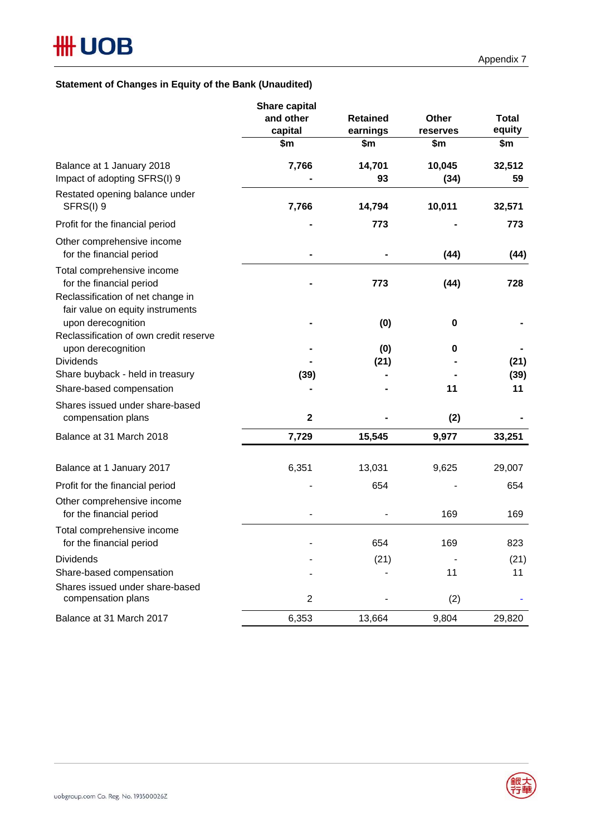## **Statement of Changes in Equity of the Bank (Unaudited)**

|                                                                                                                                 | <b>Share capital</b><br>and other | <b>Retained</b> | <b>Other</b>   | <b>Total</b> |
|---------------------------------------------------------------------------------------------------------------------------------|-----------------------------------|-----------------|----------------|--------------|
|                                                                                                                                 | capital                           | earnings        | reserves       | equity       |
|                                                                                                                                 | \$m                               | \$m             | \$m            | \$m          |
| Balance at 1 January 2018<br>Impact of adopting SFRS(I) 9                                                                       | 7,766                             | 14,701<br>93    | 10,045<br>(34) | 32,512<br>59 |
| Restated opening balance under<br>SFRS(I) 9                                                                                     | 7,766                             | 14,794          | 10,011         | 32,571       |
| Profit for the financial period                                                                                                 |                                   | 773             |                | 773          |
| Other comprehensive income<br>for the financial period                                                                          |                                   |                 | (44)           | (44)         |
| Total comprehensive income<br>for the financial period<br>Reclassification of net change in<br>fair value on equity instruments |                                   | 773             | (44)           | 728          |
| upon derecognition<br>Reclassification of own credit reserve                                                                    |                                   | (0)             | $\pmb{0}$      |              |
| upon derecognition                                                                                                              |                                   | (0)             | 0              |              |
| <b>Dividends</b>                                                                                                                |                                   | (21)            |                | (21)         |
| Share buyback - held in treasury                                                                                                | (39)                              |                 |                | (39)         |
| Share-based compensation                                                                                                        |                                   |                 | 11             | 11           |
| Shares issued under share-based<br>compensation plans                                                                           | $\mathbf{2}$                      |                 | (2)            |              |
| Balance at 31 March 2018                                                                                                        | 7,729                             | 15,545          | 9,977          | 33,251       |
| Balance at 1 January 2017                                                                                                       | 6,351                             | 13,031          | 9,625          | 29,007       |
| Profit for the financial period                                                                                                 |                                   | 654             |                | 654          |
| Other comprehensive income<br>for the financial period                                                                          |                                   |                 | 169            | 169          |
| Total comprehensive income<br>for the financial period                                                                          |                                   | 654             | 169            | 823          |
| <b>Dividends</b>                                                                                                                |                                   | (21)            |                | (21)         |
| Share-based compensation                                                                                                        |                                   |                 | 11             | 11           |
| Shares issued under share-based<br>compensation plans                                                                           | $\overline{2}$                    |                 | (2)            |              |
| Balance at 31 March 2017                                                                                                        | 6,353                             | 13,664          | 9,804          | 29,820       |